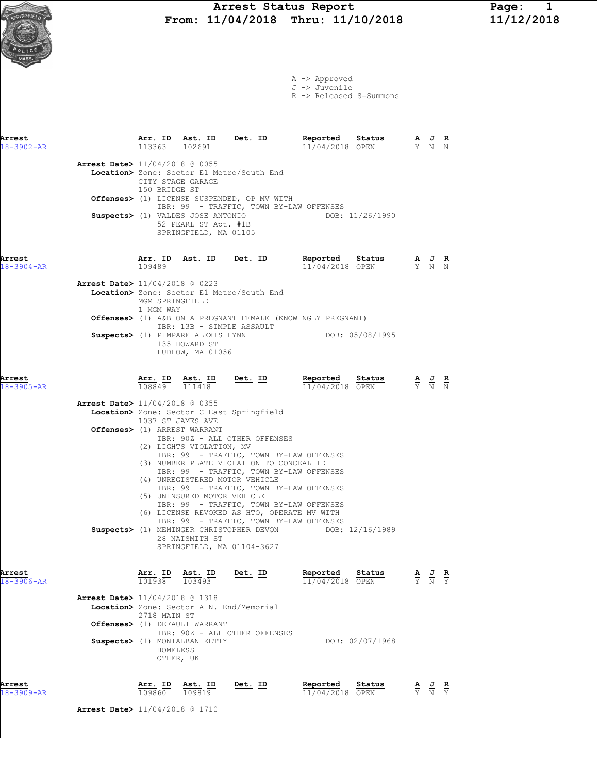A -> Approved J -> Juvenile

R -> Released S=Summons

| Arrest<br>$18 - 3902 - AR$ |                                          |                                    |                                                                                    | $\frac{\texttt{Arr. ID}}{113363}$ $\frac{\texttt{ Ast. ID}}{102691}$ Det. ID                                                                                                                                                                 | Reported Status                                                                                                                      | <b>Reported Status A J R</b> $\frac{11}{04}/2018$ <b>OPEN Y N N</b> |                                                                                                 |  |
|----------------------------|------------------------------------------|------------------------------------|------------------------------------------------------------------------------------|----------------------------------------------------------------------------------------------------------------------------------------------------------------------------------------------------------------------------------------------|--------------------------------------------------------------------------------------------------------------------------------------|---------------------------------------------------------------------|-------------------------------------------------------------------------------------------------|--|
|                            | <b>Arrest Date&gt;</b> 11/04/2018 @ 0055 | CITY STAGE GARAGE<br>150 BRIDGE ST |                                                                                    | Location> Zone: Sector E1 Metro/South End<br>Offenses> (1) LICENSE SUSPENDED, OP MV WITH                                                                                                                                                     |                                                                                                                                      |                                                                     |                                                                                                 |  |
|                            |                                          |                                    | Suspects> (1) VALDES JOSE ANTONIO<br>52 PEARL ST Apt. #1B<br>SPRINGFIELD, MA 01105 | IBR: 99 - TRAFFIC, TOWN BY-LAW OFFENSES                                                                                                                                                                                                      | DOB: 11/26/1990                                                                                                                      |                                                                     |                                                                                                 |  |
| Arrest<br>$18 - 3904 - AR$ |                                          |                                    |                                                                                    |                                                                                                                                                                                                                                              | <b>Arr. ID</b> Ast. ID Det. ID Reported Status A J R<br>$\frac{10}{109489}$ Ast. ID Det. ID Reported Status A J R<br>11/04/2018 OPEN |                                                                     |                                                                                                 |  |
|                            | <b>Arrest Date&gt;</b> 11/04/2018 @ 0223 | MGM SPRINGFIELD<br>1 MGM WAY       |                                                                                    | Location> Zone: Sector E1 Metro/South End                                                                                                                                                                                                    |                                                                                                                                      |                                                                     |                                                                                                 |  |
|                            |                                          |                                    |                                                                                    | IBR: 13B - SIMPLE ASSAULT                                                                                                                                                                                                                    | <b>Offenses&gt;</b> (1) A&B ON A PREGNANT FEMALE (KNOWINGLY PREGNANT)                                                                |                                                                     |                                                                                                 |  |
|                            |                                          |                                    | 135 HOWARD ST<br>LUDLOW, MA 01056                                                  |                                                                                                                                                                                                                                              | Suspects> (1) PIMPARE ALEXIS LYNN DOB: 05/08/1995                                                                                    |                                                                     |                                                                                                 |  |
| Arrest<br>$18 - 3905 - AR$ |                                          |                                    | $\frac{\texttt{Arr.}}{108849}$ $\frac{\texttt{ Ast.}}{111418}$                     | $Det. ID$                                                                                                                                                                                                                                    | Reported Status<br><b>Reported Status A J R</b> $\frac{11}{04}/2018$ <b>OPEN F N R</b>                                               |                                                                     |                                                                                                 |  |
|                            | <b>Arrest Date&gt;</b> 11/04/2018 @ 0355 | 1037 ST JAMES AVE                  | Offenses> (1) ARREST WARRANT                                                       | Location> Zone: Sector C East Springfield                                                                                                                                                                                                    |                                                                                                                                      |                                                                     |                                                                                                 |  |
|                            |                                          |                                    | (2) LIGHTS VIOLATION, MV                                                           | IBR: 90Z - ALL OTHER OFFENSES<br>IBR: 99 - TRAFFIC, TOWN BY-LAW OFFENSES<br>(3) NUMBER PLATE VIOLATION TO CONCEAL ID<br>IBR: 99 - TRAFFIC, TOWN BY-LAW OFFENSES<br>(4) UNREGISTERED MOTOR VEHICLE<br>IBR: 99 - TRAFFIC, TOWN BY-LAW OFFENSES |                                                                                                                                      |                                                                     |                                                                                                 |  |
|                            |                                          |                                    | (5) UNINSURED MOTOR VEHICLE                                                        | IBR: 99 - TRAFFIC, TOWN BY-LAW OFFENSES<br>(6) LICENSE REVOKED AS HTO, OPERATE MV WITH<br>IBR: 99 - TRAFFIC, TOWN BY-LAW OFFENSES                                                                                                            |                                                                                                                                      |                                                                     |                                                                                                 |  |
|                            |                                          |                                    | 28 NAISMITH ST                                                                     | SPRINGFIELD, MA 01104-3627                                                                                                                                                                                                                   | Suspects> (1) MEMINGER CHRISTOPHER DEVON DOB: 12/16/1989                                                                             |                                                                     |                                                                                                 |  |
| Arrest<br>$18 - 3906 - AR$ |                                          | $\frac{101938}{101938}$            | Ast. ID<br>103493                                                                  | Det. ID                                                                                                                                                                                                                                      | Reported Status<br>11/04/2018 OPEN                                                                                                   |                                                                     | $\frac{\mathbf{A}}{\mathbf{Y}}$ $\frac{\mathbf{J}}{\mathbf{N}}$ $\frac{\mathbf{R}}{\mathbf{Y}}$ |  |
|                            | <b>Arrest Date&gt;</b> 11/04/2018 @ 1318 | 2718 MAIN ST                       |                                                                                    | Location> Zone: Sector A N. End/Memorial                                                                                                                                                                                                     |                                                                                                                                      |                                                                     |                                                                                                 |  |
|                            |                                          | HOMELESS                           | Offenses> (1) DEFAULT WARRANT<br>Suspects> (1) MONTALBAN KETTY                     | IBR: 90Z - ALL OTHER OFFENSES                                                                                                                                                                                                                |                                                                                                                                      | DOB: 02/07/1968                                                     |                                                                                                 |  |
|                            |                                          |                                    | OTHER, UK                                                                          |                                                                                                                                                                                                                                              |                                                                                                                                      |                                                                     |                                                                                                 |  |



Arrest Date> 11/04/2018 @ 1710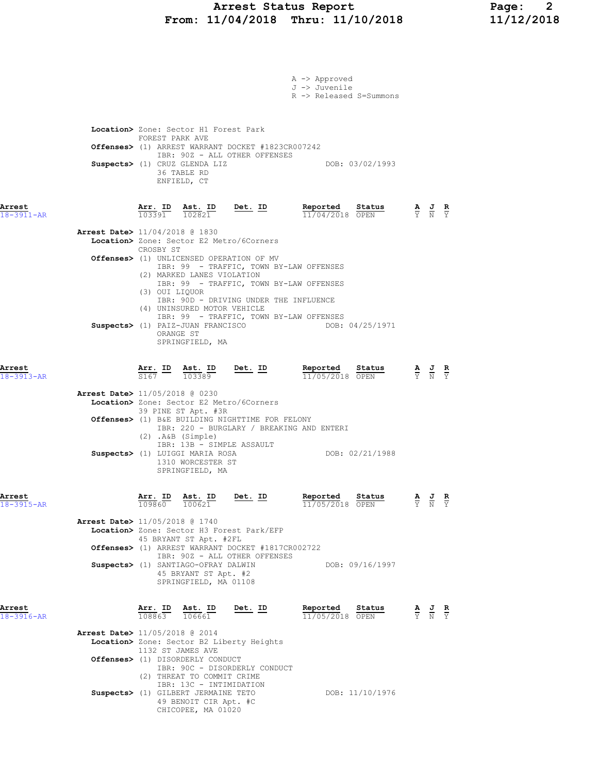## Arrest Status Report Page: 2 From: 11/04/2018 Thru: 11/10/2018 11/12/2018

|                            |                                                                                                                                               | A -> Approved<br>J -> Juvenile<br>R -> Released S=Summons |                                                                                                 |  |
|----------------------------|-----------------------------------------------------------------------------------------------------------------------------------------------|-----------------------------------------------------------|-------------------------------------------------------------------------------------------------|--|
|                            |                                                                                                                                               |                                                           |                                                                                                 |  |
|                            | Location> Zone: Sector H1 Forest Park<br>FOREST PARK AVE                                                                                      |                                                           |                                                                                                 |  |
|                            | <b>Offenses&gt;</b> (1) ARREST WARRANT DOCKET #1823CR007242<br>IBR: 90Z - ALL OTHER OFFENSES                                                  |                                                           |                                                                                                 |  |
|                            | Suspects> (1) CRUZ GLENDA LIZ<br>36 TABLE RD<br>ENFIELD, CT                                                                                   | DOB: 03/02/1993                                           |                                                                                                 |  |
| Arrest<br>18-3911-AR       | $\frac{\texttt{Arr.}}{103391}$ $\frac{\texttt{ Ast.}}{102821}$ $\frac{\texttt{Det.}}{202821}$                                                 | Reported Status<br>$11/04/2018$ OPEN                      | $\frac{\mathbf{A}}{\mathbf{Y}}$ $\frac{\mathbf{J}}{\mathbf{N}}$ $\frac{\mathbf{R}}{\mathbf{Y}}$ |  |
|                            | <b>Arrest Date&gt;</b> 11/04/2018 @ 1830<br>Location> Zone: Sector E2 Metro/6Corners                                                          |                                                           |                                                                                                 |  |
|                            | CROSBY ST<br>Offenses> (1) UNLICENSED OPERATION OF MV<br>IBR: 99 - TRAFFIC, TOWN BY-LAW OFFENSES                                              |                                                           |                                                                                                 |  |
|                            | (2) MARKED LANES VIOLATION<br>IBR: 99 - TRAFFIC, TOWN BY-LAW OFFENSES                                                                         |                                                           |                                                                                                 |  |
|                            | (3) OUI LIQUOR<br>IBR: 90D - DRIVING UNDER THE INFLUENCE                                                                                      |                                                           |                                                                                                 |  |
|                            | (4) UNINSURED MOTOR VEHICLE<br>IBR: 99 - TRAFFIC, TOWN BY-LAW OFFENSES<br>Suspects> (1) PAIZ-JUAN FRANCISCO<br>ORANGE ST<br>SPRINGFIELD, MA   | DOB: 04/25/1971                                           |                                                                                                 |  |
| Arrest<br>18-3913-AR       | $\frac{\texttt{Arr.}}{\texttt{S167}}$ $\frac{\texttt{ID}}{103389}$ $\frac{\texttt{Det.}}{10}$                                                 | Reported Status<br>11/05/2018 OPEN                        | $\frac{\mathbf{A}}{\mathbf{Y}}$ $\frac{\mathbf{J}}{\mathbf{N}}$ $\frac{\mathbf{R}}{\mathbf{Y}}$ |  |
|                            | Arrest Date> 11/05/2018 @ 0230<br>Location> Zone: Sector E2 Metro/6Corners                                                                    |                                                           |                                                                                                 |  |
|                            | 39 PINE ST Apt. #3R<br>Offenses> (1) B&E BUILDING NIGHTTIME FOR FELONY<br>IBR: 220 - BURGLARY / BREAKING AND ENTERI<br>$(2)$ . A&B $(Simple)$ |                                                           |                                                                                                 |  |
|                            | IBR: 13B - SIMPLE ASSAULT<br>Suspects> (1) LUIGGI MARIA ROSA<br>1310 WORCESTER ST<br>SPRINGFIELD, MA                                          | DOB: 02/21/1988                                           |                                                                                                 |  |
| Arrest<br>18-3915-AR       | Arr. ID Ast. ID<br><u>Det. ID</u><br>109860<br>100621                                                                                         | Reported Status<br>11/05/2018 OPEN                        | $\frac{\mathbf{A}}{\mathbf{Y}}$ $\frac{\mathbf{J}}{\mathbf{N}}$ $\frac{\mathbf{R}}{\mathbf{Y}}$ |  |
|                            | Arrest Date> 11/05/2018 @ 1740<br>Location> Zone: Sector H3 Forest Park/EFP                                                                   |                                                           |                                                                                                 |  |
|                            | 45 BRYANT ST Apt. #2FL<br>Offenses> (1) ARREST WARRANT DOCKET #1817CR002722                                                                   |                                                           |                                                                                                 |  |
|                            | IBR: 90Z - ALL OTHER OFFENSES<br>Suspects> (1) SANTIAGO-OFRAY DALWIN                                                                          | DOB: 09/16/1997                                           |                                                                                                 |  |
|                            | 45 BRYANT ST Apt. #2<br>SPRINGFIELD, MA 01108                                                                                                 |                                                           |                                                                                                 |  |
| Arrest<br>$18 - 3916 - AR$ | $\frac{\texttt{Arr.}}{108863}$ $\frac{\texttt{ Ast.}}{106661}$<br><u>Det. ID</u>                                                              | Reported Status<br>11/05/2018 OPEN                        | $\frac{\mathbf{A}}{\mathbf{Y}}$ $\frac{\mathbf{J}}{\mathbf{N}}$ $\frac{\mathbf{R}}{\mathbf{Y}}$ |  |
|                            | Arrest Date> 11/05/2018 @ 2014<br>Location> Zone: Sector B2 Liberty Heights                                                                   |                                                           |                                                                                                 |  |
|                            | 1132 ST JAMES AVE<br>Offenses> (1) DISORDERLY CONDUCT                                                                                         |                                                           |                                                                                                 |  |
|                            | IBR: 90C - DISORDERLY CONDUCT<br>(2) THREAT TO COMMIT CRIME                                                                                   |                                                           |                                                                                                 |  |
|                            | IBR: 13C - INTIMIDATION<br>Suspects> (1) GILBERT JERMAINE TETO<br>49 BENOIT CIR Apt. #C<br>CHICOPEE, MA 01020                                 | DOB: 11/10/1976                                           |                                                                                                 |  |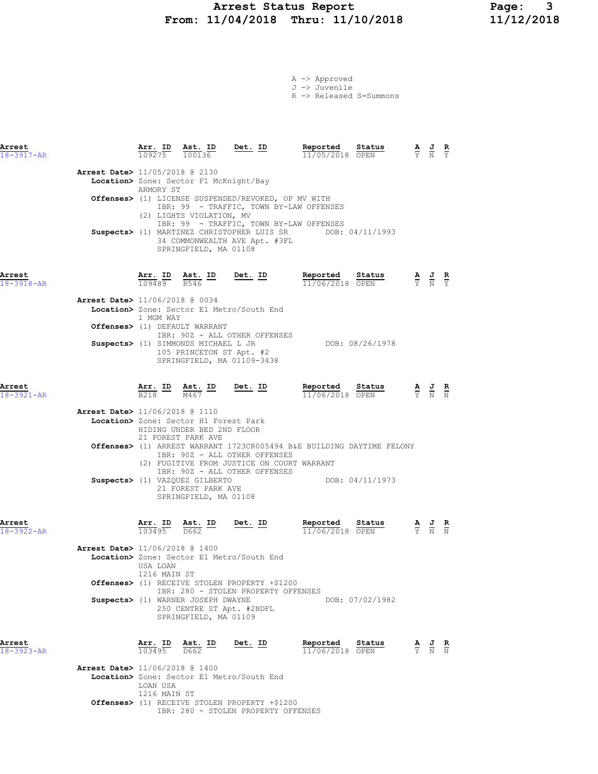## Arrest Status Report Page: 3 From: 11/04/2018 Thru: 11/10/2018

A -> Approved J -> Juvenile

R -> Released S=Summons

| Arrest<br>18-3917-AR       |                                          |                           |                                                                                                               | $\frac{\texttt{Arr.}}{109275}$ $\frac{\texttt{ Ast.}}{100136}$ Det. ID                         | Reported<br>11/05/2018 OPEN                                           | Status          | $\frac{\mathbf{A}}{\mathbf{Y}}$ $\frac{\mathbf{J}}{\mathbf{N}}$ $\frac{\mathbf{R}}{\mathbf{Y}}$       |               |
|----------------------------|------------------------------------------|---------------------------|---------------------------------------------------------------------------------------------------------------|------------------------------------------------------------------------------------------------|-----------------------------------------------------------------------|-----------------|-------------------------------------------------------------------------------------------------------|---------------|
|                            | Arrest Date> 11/05/2018 @ 2130           | ARMORY ST                 | Location> Zone: Sector F1 McKnight/Bay                                                                        |                                                                                                |                                                                       |                 |                                                                                                       |               |
|                            |                                          |                           | (2) LIGHTS VIOLATION, MV                                                                                      | Offenses> (1) LICENSE SUSPENDED/REVOKED, OP MV WITH<br>IBR: 99 - TRAFFIC, TOWN BY-LAW OFFENSES |                                                                       |                 |                                                                                                       |               |
|                            |                                          |                           | SPRINGFIELD, MA 01108                                                                                         | IBR: 99 - TRAFFIC, TOWN BY-LAW OFFENSES<br>34 COMMONWEALTH AVE Apt. #3FL                       | Suspects> (1) MARTINEZ CHRISTOPHER LUIS SR DOB: 04/11/1993            |                 |                                                                                                       |               |
| Arrest<br>18-3918-AR       |                                          |                           | $\frac{\texttt{Arr. ID}}{109489}$ $\frac{\texttt{ Ast. ID}}{R546}$                                            | <u>Det.</u> ID                                                                                 | Reported<br>11/06/2018 OPEN                                           | Status          | $\frac{\mathbf{A}}{\overline{Y}}$ $\frac{\mathbf{J}}{\overline{N}}$ $\frac{\mathbf{R}}{\overline{Y}}$ |               |
|                            | Arrest Date> 11/06/2018 @ 0034           | 1 MGM WAY                 |                                                                                                               | Location> Zone: Sector E1 Metro/South End                                                      |                                                                       |                 |                                                                                                       |               |
|                            |                                          |                           | Offenses> (1) DEFAULT WARRANT                                                                                 | IBR: 90Z - ALL OTHER OFFENSES                                                                  |                                                                       |                 |                                                                                                       |               |
|                            |                                          |                           | Suspects> (1) SIMMONDS MICHAEL L JR<br>105 PRINCETON ST Apt. #2                                               | SPRINGFIELD, MA 01109-3438                                                                     |                                                                       | DOB: 08/26/1978 |                                                                                                       |               |
| Arrest<br>18-3921-AR       |                                          |                           | $\frac{\texttt{Arr.}}{\texttt{B218}}$ $\frac{\texttt{ID}}{\texttt{M467}}$ $\frac{\texttt{ID}}{\texttt{M467}}$ | Det. ID                                                                                        | Reported<br>11/06/2018 OPEN                                           | Status          | $\frac{\mathbf{A}}{\overline{Y}}$ $\frac{\mathbf{J}}{\overline{N}}$ $\frac{\mathbf{R}}{\overline{N}}$ |               |
|                            | Arrest Date> 11/06/2018 @ 1110           |                           | Location> Zone: Sector H1 Forest Park<br>HIDING UNDER BED 2ND FLOOR<br>21 FOREST PARK AVE                     |                                                                                                |                                                                       |                 |                                                                                                       |               |
|                            |                                          |                           |                                                                                                               | IBR: 90Z - ALL OTHER OFFENSES<br>(2) FUGITIVE FROM JUSTICE ON COURT WARRANT                    | Offenses> (1) ARREST WARRANT 1723CR005494 B&E BUILDING DAYTIME FELONY |                 |                                                                                                       |               |
|                            |                                          |                           | Suspects> (1) VAZQUEZ GILBERTO<br>21 FOREST PARK AVE<br>SPRINGFIELD, MA 01108                                 | IBR: 90Z - ALL OTHER OFFENSES                                                                  | DOB: 04/11/1973                                                       |                 |                                                                                                       |               |
| Arrest<br>$18 - 3922 - AR$ |                                          | Arr. ID<br>103495         | <u>Ast. ID</u><br>D662                                                                                        | <u>Det. ID</u>                                                                                 | Reported<br>11/06/2018 OPEN                                           | Status          | $rac{1}{N}$                                                                                           | $\frac{R}{N}$ |
|                            | <b>Arrest Date&gt;</b> 11/06/2018 @ 1400 | USA LOAN                  |                                                                                                               | Location> Zone: Sector E1 Metro/South End                                                      |                                                                       |                 |                                                                                                       |               |
|                            |                                          | 1216 MAIN ST              |                                                                                                               | Offenses> (1) RECEIVE STOLEN PROPERTY +\$1200                                                  |                                                                       |                 |                                                                                                       |               |
|                            |                                          |                           | Suspects> (1) WARNER JOSEPH DWAYNE<br>SPRINGFIELD, MA 01109                                                   | IBR: 280 - STOLEN PROPERTY OFFENSES<br>250 CENTRE ST Apt. #2NDFL                               |                                                                       | DOB: 07/02/1982 |                                                                                                       |               |
| Arrest<br>$18 - 3923 - AR$ |                                          | Arr. ID Ast. ID<br>103495 | D662                                                                                                          | Det. ID                                                                                        | Reported<br>11/06/2018 OPEN                                           | Status          | $\frac{\mathbf{A}}{\mathbf{Y}}$ $\frac{\mathbf{J}}{\mathbf{N}}$ $\frac{\mathbf{R}}{\mathbf{N}}$       |               |
|                            | Arrest Date> 11/06/2018 @ 1400           | LOAN USA<br>1216 MAIN ST  |                                                                                                               | Location> Zone: Sector E1 Metro/South End                                                      |                                                                       |                 |                                                                                                       |               |

Offenses> (1) RECEIVE STOLEN PROPERTY +\$1200

IBR: 280 - STOLEN PROPERTY OFFENSES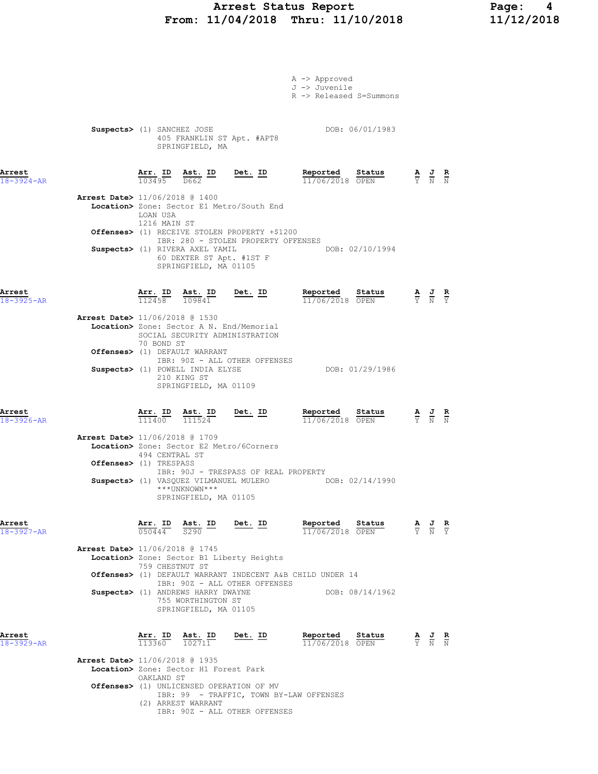# Arrest Status Report Page: 4 From: 11/04/2018 Thru: 11/10/2018

|                            |                                          |                                |                                                                                        |                                                                            | A -> Approved<br>J -> Juvenile<br>R -> Released S=Summons                 |                                                                                                       |  |
|----------------------------|------------------------------------------|--------------------------------|----------------------------------------------------------------------------------------|----------------------------------------------------------------------------|---------------------------------------------------------------------------|-------------------------------------------------------------------------------------------------------|--|
|                            | Suspects> (1) SANCHEZ JOSE               |                                | SPRINGFIELD, MA                                                                        | 405 FRANKLIN ST Apt. #APT8                                                 | DOB: 06/01/1983                                                           |                                                                                                       |  |
| Arrest<br>$18 - 3924 - AR$ |                                          | Arr. ID<br>103495              | $A$ st. ID<br>D662                                                                     | <u>Det. ID</u>                                                             | Reported<br>Status<br>11/06/2018 OPEN                                     | $\frac{\mathbf{A}}{\mathbf{Y}}$ $\frac{\mathbf{J}}{\mathbf{N}}$ $\frac{\mathbf{R}}{\mathbf{N}}$       |  |
|                            | <b>Arrest Date&gt;</b> 11/06/2018 @ 1400 | LOAN USA                       |                                                                                        | Location> Zone: Sector E1 Metro/South End                                  |                                                                           |                                                                                                       |  |
|                            |                                          | 1216 MAIN ST                   |                                                                                        | <b>Offenses&gt;</b> (1) RECEIVE STOLEN PROPERTY +\$1200                    |                                                                           |                                                                                                       |  |
|                            |                                          |                                | Suspects> (1) RIVERA AXEL YAMIL<br>SPRINGFIELD, MA 01105                               | IBR: 280 - STOLEN PROPERTY OFFENSES<br>60 DEXTER ST Apt. #1ST F            | DOB: 02/10/1994                                                           |                                                                                                       |  |
| Arrest<br>$18 - 3925 - AR$ |                                          | $\frac{\texttt{Arr.}}{112458}$ | Ast. ID<br>109841                                                                      | $Det. ID$                                                                  | Reported Status<br>11/06/2018 OPEN                                        | $\frac{\mathbf{A}}{\overline{Y}}$ $\frac{\mathbf{J}}{\overline{N}}$ $\frac{\mathbf{R}}{\overline{Y}}$ |  |
|                            | Arrest Date> 11/06/2018 @ 1530           | 70 BOND ST                     |                                                                                        | Location> Zone: Sector A N. End/Memorial<br>SOCIAL SECURITY ADMINISTRATION |                                                                           |                                                                                                       |  |
|                            |                                          |                                | Offenses> (1) DEFAULT WARRANT                                                          | IBR: 90Z - ALL OTHER OFFENSES                                              |                                                                           |                                                                                                       |  |
|                            |                                          |                                | Suspects> (1) POWELL INDIA ELYSE<br>210 KING ST<br>SPRINGFIELD, MA 01109               |                                                                            | DOB: 01/29/1986                                                           |                                                                                                       |  |
| Arrest<br>$18 - 3926 - AR$ |                                          |                                | Arr. ID Ast. ID<br>$\overline{111400}$ $\overline{111524}$                             | <u>Det. ID</u>                                                             | Reported<br>Status<br>$11/06/2018$ OPEN                                   | $\frac{\mathbf{A}}{\mathbf{Y}}$ $\frac{\mathbf{J}}{\mathbf{N}}$ $\frac{\mathbf{R}}{\mathbf{N}}$       |  |
|                            | Arrest Date> 11/06/2018 @ 1709           |                                |                                                                                        | Location> Zone: Sector E2 Metro/6Corners                                   |                                                                           |                                                                                                       |  |
|                            | Offenses> (1) TRESPASS                   | 494 CENTRAL ST                 |                                                                                        |                                                                            |                                                                           |                                                                                                       |  |
|                            |                                          |                                | ***UNKNOWN***<br>SPRINGFIELD, MA 01105                                                 | IBR: 90J - TRESPASS OF REAL PROPERTY                                       | Suspects> (1) VASQUEZ VILMANUEL MULERO DOB: 02/14/1990                    |                                                                                                       |  |
| Arrest<br>18-3927-AR       |                                          |                                | $\frac{\texttt{Arr.}}{050444}$ $\frac{\texttt{ID}}{9290}$ $\frac{\texttt{Ast.}}{5290}$ | <u>Det. ID</u>                                                             | Reported<br><b>Status</b> $A$ <b>J R</b><br>OPEN Y N Y<br>11/06/2018 OPEN |                                                                                                       |  |
|                            | Arrest Date> 11/06/2018 @ 1745           |                                |                                                                                        | Location> Zone: Sector B1 Liberty Heights                                  |                                                                           |                                                                                                       |  |
|                            |                                          | 759 CHESTNUT ST                |                                                                                        |                                                                            | Offenses> (1) DEFAULT WARRANT INDECENT A&B CHILD UNDER 14                 |                                                                                                       |  |
|                            |                                          |                                | Suspects> (1) ANDREWS HARRY DWAYNE<br>755 WORTHINGTON ST<br>SPRINGFIELD, MA 01105      | IBR: 90Z - ALL OTHER OFFENSES                                              | DOB: 08/14/1962                                                           |                                                                                                       |  |
| Arrest<br>$18 - 3929 - AR$ |                                          | Arr. ID<br>113360              | $\frac{\text{Ast.}}{102711}$                                                           | Det. ID                                                                    | Reported<br>Status<br>11/06/2018 OPEN                                     | $\frac{\mathbf{A}}{\mathbf{Y}}$ $\frac{\mathbf{J}}{\mathbf{N}}$ $\frac{\mathbf{R}}{\mathbf{N}}$       |  |
|                            | Arrest Date> 11/06/2018 @ 1935           | OAKLAND ST                     | Location> Zone: Sector H1 Forest Park                                                  |                                                                            |                                                                           |                                                                                                       |  |
|                            |                                          |                                |                                                                                        | Offenses> (1) UNLICENSED OPERATION OF MV                                   |                                                                           |                                                                                                       |  |

- IBR: 99 TRAFFIC, TOWN BY-LAW OFFENSES
	- (2) ARREST WARRANT
	- IBR: 90Z ALL OTHER OFFENSES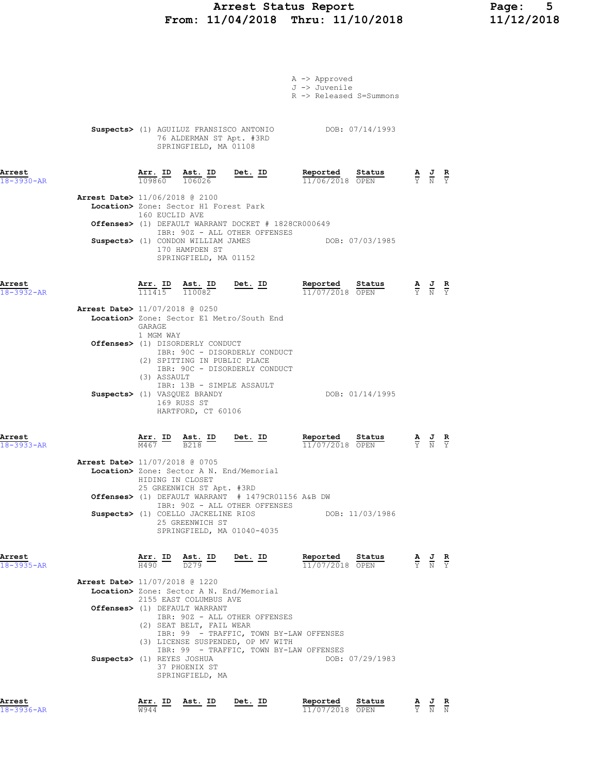## Arrest Status Report Page: 5 From: 11/04/2018 Thru: 11/10/2018 11/12/2018

|                            |                                                                                                                                                                                                                                                                              |                                         | A -> Approved<br>J -> Juvenile<br>R -> Released S=Summons |                 |                                                                                                       |  |
|----------------------------|------------------------------------------------------------------------------------------------------------------------------------------------------------------------------------------------------------------------------------------------------------------------------|-----------------------------------------|-----------------------------------------------------------|-----------------|-------------------------------------------------------------------------------------------------------|--|
|                            | Suspects> (1) AGUILUZ FRANSISCO ANTONIO DOB: 07/14/1993<br>76 ALDERMAN ST Apt. #3RD<br>SPRINGFIELD, MA 01108                                                                                                                                                                 |                                         |                                                           |                 |                                                                                                       |  |
| Arrest<br>$18 - 3930 - AR$ | $\frac{\texttt{Arr.}}{109860}$ $\frac{\texttt{ Ast.}}{106026}$                                                                                                                                                                                                               | Det. <u>ID</u>                          | Reported Status<br>11/06/2018 OPEN                        |                 | $\frac{\mathbf{A}}{\overline{Y}}$ $\frac{\mathbf{J}}{\overline{N}}$ $\frac{\mathbf{R}}{\overline{Y}}$ |  |
|                            | Arrest Date> 11/06/2018 @ 2100<br>Location> Zone: Sector H1 Forest Park<br>160 EUCLID AVE<br><b>Offenses&gt;</b> (1) DEFAULT WARRANT DOCKET # 1828CR000649<br>IBR: 90Z - ALL OTHER OFFENSES<br>Suspects> (1) CONDON WILLIAM JAMES<br>170 HAMPDEN ST<br>SPRINGFIELD, MA 01152 |                                         | DOB: 07/03/1985                                           |                 |                                                                                                       |  |
| Arrest<br>$18 - 3932 - AR$ | $\frac{\texttt{Arr. ID}}{111415}$ $\frac{\texttt{ Ast. ID}}{110082}$ Det. ID                                                                                                                                                                                                 |                                         | Reported Status<br>11/07/2018 OPEN                        |                 | $\frac{\mathbf{A}}{\overline{Y}}$ $\frac{\mathbf{J}}{\overline{N}}$ $\frac{\mathbf{R}}{\overline{Y}}$ |  |
|                            | <b>Arrest Date&gt;</b> 11/07/2018 @ 0250<br>Location> Zone: Sector E1 Metro/South End<br>GARAGE                                                                                                                                                                              |                                         |                                                           |                 |                                                                                                       |  |
|                            | 1 MGM WAY<br>Offenses> (1) DISORDERLY CONDUCT<br>IBR: 90C - DISORDERLY CONDUCT<br>(2) SPITTING IN PUBLIC PLACE<br>IBR: 90C - DISORDERLY CONDUCT<br>(3) ASSAULT                                                                                                               |                                         |                                                           |                 |                                                                                                       |  |
|                            | IBR: 13B - SIMPLE ASSAULT<br>Suspects> (1) VASQUEZ BRANDY<br>169 RUSS ST<br>HARTFORD, CT 60106                                                                                                                                                                               |                                         |                                                           | DOB: 01/14/1995 |                                                                                                       |  |
| Arrest<br>18-3933-AR       | $\frac{\texttt{Arr.}}{\texttt{M467}}$ ID $\frac{\texttt{Ast.}}{\texttt{B218}}$ ID Det. ID                                                                                                                                                                                    |                                         | Reported<br>$11/07/2018$ OPEN                             | Status          | $\frac{\mathbf{A}}{\mathbf{Y}}$ $\frac{\mathbf{J}}{\mathbf{N}}$ $\frac{\mathbf{R}}{\mathbf{Y}}$       |  |
|                            | Arrest Date> 11/07/2018 @ 0705<br>Location> Zone: Sector A N. End/Memorial<br>HIDING IN CLOSET<br>25 GREENWICH ST Apt. #3RD                                                                                                                                                  |                                         |                                                           |                 |                                                                                                       |  |
|                            | <b>Offenses&gt;</b> (1) DEFAULT WARRANT # 1479CR01156 A&B DW<br>IBR: 90Z - ALL OTHER OFFENSES<br>Suspects> (1) COELLO JACKELINE RIOS                                                                                                                                         |                                         |                                                           | DOB: 11/03/1986 |                                                                                                       |  |
|                            | 25 GREENWICH ST<br>SPRINGFIELD, MA 01040-4035                                                                                                                                                                                                                                |                                         |                                                           |                 |                                                                                                       |  |
| Arrest<br>$18 - 3935 - AR$ | $\frac{\texttt{Arr.}}{\text{H490}}$ ID $\frac{\texttt{ Ast.}}{\text{D279}}$ ID                                                                                                                                                                                               | Det. ID                                 | Reported Status<br>11/07/2018 OPEN                        |                 | $\frac{\mathbf{A}}{\mathbf{Y}}$ $\frac{\mathbf{J}}{\mathbf{N}}$ $\frac{\mathbf{R}}{\mathbf{Y}}$       |  |
|                            | Arrest Date> 11/07/2018 @ 1220<br>Location> Zone: Sector A N. End/Memorial<br>2155 EAST COLUMBUS AVE<br><b>Offenses&gt;</b> (1) DEFAULT WARRANT<br>IBR: 90Z - ALL OTHER OFFENSES<br>(2) SEAT BELT, FAIL WEAR<br>(3) LICENSE SUSPENDED, OP MV WITH                            | IBR: 99 - TRAFFIC, TOWN BY-LAW OFFENSES |                                                           |                 |                                                                                                       |  |
|                            | Suspects> (1) REYES JOSHUA<br>37 PHOENIX ST<br>SPRINGFIELD, MA                                                                                                                                                                                                               | IBR: 99 - TRAFFIC, TOWN BY-LAW OFFENSES |                                                           | DOB: 07/29/1983 |                                                                                                       |  |

Arrest Arr. ID Ast. ID Det. ID Reported Status A J R 18-3936-AR W944 11/07/2018 OPEN Y N N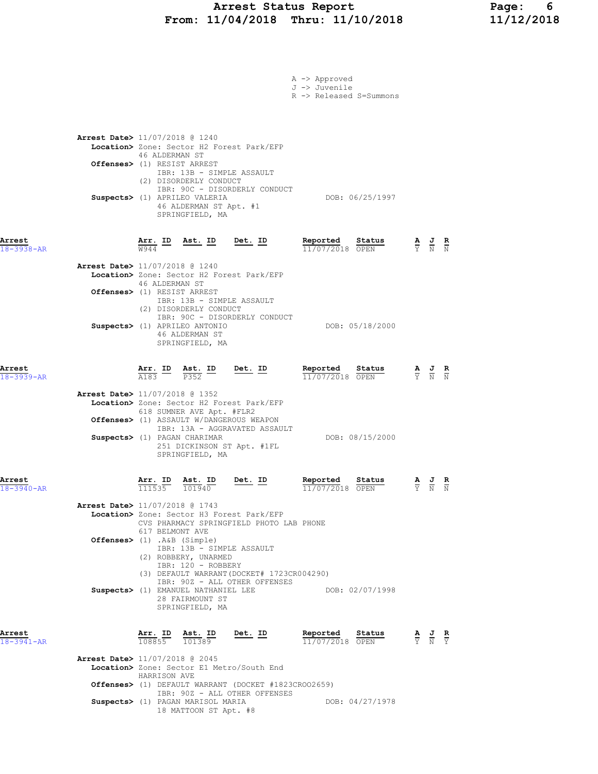## Arrest Status Report Page: 6 From: 11/04/2018 Thru: 11/10/2018 11/12/2018

|                            |                                                                                                                                                                                                                                                                                                              | A -> Approved<br>J -> Juvenile<br>R -> Released S=Summons |                                                                                                       |
|----------------------------|--------------------------------------------------------------------------------------------------------------------------------------------------------------------------------------------------------------------------------------------------------------------------------------------------------------|-----------------------------------------------------------|-------------------------------------------------------------------------------------------------------|
|                            | <b>Arrest Date&gt;</b> 11/07/2018 @ 1240<br>Location> Zone: Sector H2 Forest Park/EFP<br>46 ALDERMAN ST<br>Offenses> (1) RESIST ARREST<br>IBR: 13B - SIMPLE ASSAULT<br>(2) DISORDERLY CONDUCT<br>IBR: 90C - DISORDERLY CONDUCT<br>Suspects> (1) APRILEO VALERIA<br>46 ALDERMAN ST Apt. #1<br>SPRINGFIELD, MA | DOB: 06/25/1997                                           |                                                                                                       |
| Arrest<br>$18 - 3938 - AR$ | Ast. ID Det. ID<br><u>Arr. ID</u><br><b>W944</b>                                                                                                                                                                                                                                                             | Reported<br>Status<br>11/07/2018 OPEN                     | $\frac{\mathbf{A}}{\mathbf{Y}}$ $\frac{\mathbf{J}}{\mathbf{N}}$ $\frac{\mathbf{R}}{\mathbf{N}}$       |
|                            | Arrest Date> 11/07/2018 @ 1240<br>Location> Zone: Sector H2 Forest Park/EFP<br>46 ALDERMAN ST<br>Offenses> (1) RESIST ARREST<br>IBR: 13B - SIMPLE ASSAULT<br>(2) DISORDERLY CONDUCT<br>IBR: 90C - DISORDERLY CONDUCT                                                                                         |                                                           |                                                                                                       |
|                            | Suspects> (1) APRILEO ANTONIO<br>46 ALDERMAN ST<br>SPRINGFIELD, MA                                                                                                                                                                                                                                           | DOB: 05/18/2000                                           |                                                                                                       |
| Arrest<br>$18 - 3939 - AR$ | $\frac{\text{Arr.}}{\text{A183}}$ ID $\frac{\text{Ast.}}{\text{P352}}$ ID<br><u>Det. ID</u>                                                                                                                                                                                                                  | Reported<br>Status<br>11/07/2018 OPEN                     | $\frac{\mathbf{A}}{\overline{Y}}$ $\frac{\mathbf{J}}{\overline{N}}$ $\frac{\mathbf{R}}{\overline{N}}$ |
|                            | <b>Arrest Date&gt;</b> 11/07/2018 @ 1352<br>Location> Zone: Sector H2 Forest Park/EFP<br>618 SUMNER AVE Apt. #FLR2<br><b>Offenses&gt;</b> (1) ASSAULT W/DANGEROUS WEAPON<br>IBR: 13A - AGGRAVATED ASSAULT<br>Suspects> (1) PAGAN CHARIMAR<br>251 DICKINSON ST Apt. #1FL<br>SPRINGFIELD, MA                   | DOB: 08/15/2000                                           |                                                                                                       |
| Arrest<br>18-3940-AR       | Arr. ID<br>Ast. ID<br>Det. ID<br>111535 101940                                                                                                                                                                                                                                                               | Reported<br>Status<br>11/07/2018 OPEN                     |                                                                                                       |
|                            | Arrest Date> 11/07/2018 @ 1743<br>Location> Zone: Sector H3 Forest Park/EFP<br>CVS PHARMACY SPRINGFIELD PHOTO LAB PHONE<br>617 BELMONT AVE                                                                                                                                                                   |                                                           |                                                                                                       |
|                            | Offenses> (1) .A&B (Simple)<br>IBR: 13B - SIMPLE ASSAULT<br>(2) ROBBERY, UNARMED<br>IBR: 120 - ROBBERY<br>(3) DEFAULT WARRANT (DOCKET# 1723CR004290)<br>IBR: 90Z - ALL OTHER OFFENSES                                                                                                                        |                                                           |                                                                                                       |
|                            | Suspects> (1) EMANUEL NATHANIEL LEE<br>28 FAIRMOUNT ST<br>SPRINGFIELD, MA                                                                                                                                                                                                                                    | DOB: 02/07/1998                                           |                                                                                                       |
| Arrest<br>18-3941-AR       | Arr. ID<br><u>Ast. ID</u><br>Det. ID<br>108855 101389                                                                                                                                                                                                                                                        | Reported<br>Status<br>11/07/2018 OPEN                     | $\frac{\mathbf{A}}{\mathbf{Y}}$ $\frac{\mathbf{J}}{\mathbf{N}}$ $\frac{\mathbf{R}}{\mathbf{Y}}$       |
|                            | <b>Arrest Date&gt;</b> 11/07/2018 @ 2045<br>Location> Zone: Sector E1 Metro/South End<br>HARRISON AVE<br>Offenses> (1) DEFAULT WARRANT (DOCKET #1823CROO2659)                                                                                                                                                |                                                           |                                                                                                       |
|                            | IBR: 90Z - ALL OTHER OFFENSES<br>Suspects> (1) PAGAN MARISOL MARIA<br>18 MATTOON ST Apt. #8                                                                                                                                                                                                                  | DOB: 04/27/1978                                           |                                                                                                       |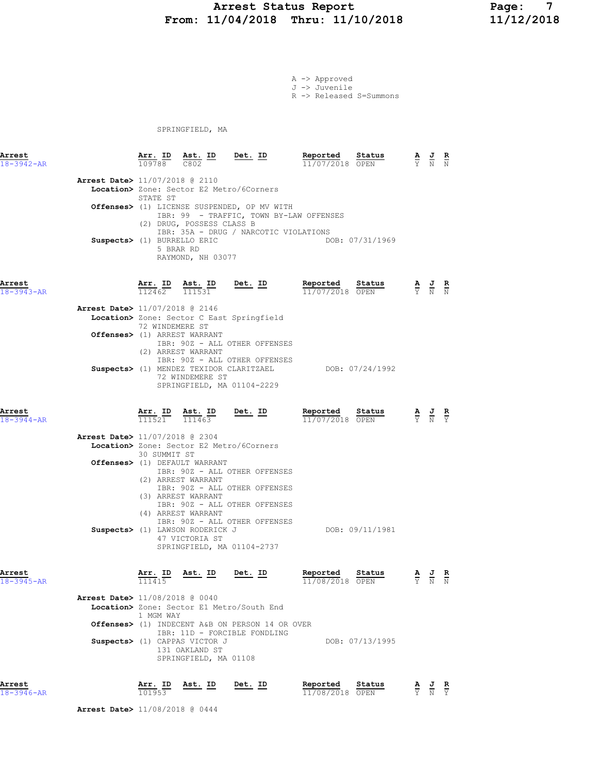## Arrest Status Report Page: 7 From: 11/04/2018 Thru: 11/10/2018

A -> Approved J -> Juvenile R -> Released S=Summons

SPRINGFIELD, MA

| Arrest<br>$18 - 3942 - AR$ |                                          | Arr. ID Ast. ID<br>109788 C802 |                                | Det. ID                                                                                                                         | Reported<br>11/07/2018 OPEN | Status          | $\frac{\mathbf{A}}{\mathbf{Y}}$ $\frac{\mathbf{J}}{\mathbf{N}}$ $\frac{\mathbf{R}}{\mathbf{N}}$ |  |
|----------------------------|------------------------------------------|--------------------------------|--------------------------------|---------------------------------------------------------------------------------------------------------------------------------|-----------------------------|-----------------|-------------------------------------------------------------------------------------------------|--|
|                            |                                          |                                |                                |                                                                                                                                 |                             |                 |                                                                                                 |  |
|                            | <b>Arrest Date&gt;</b> 11/07/2018 @ 2110 |                                |                                |                                                                                                                                 |                             |                 |                                                                                                 |  |
|                            |                                          | STATE ST                       |                                | Location> Zone: Sector E2 Metro/6Corners                                                                                        |                             |                 |                                                                                                 |  |
|                            |                                          |                                | (2) DRUG, POSSESS CLASS B      | Offenses> (1) LICENSE SUSPENDED, OP MV WITH<br>IBR: 99 - TRAFFIC, TOWN BY-LAW OFFENSES<br>IBR: 35A - DRUG / NARCOTIC VIOLATIONS |                             |                 |                                                                                                 |  |
|                            | Suspects> (1) BURRELLO ERIC              |                                | 5 BRAR RD<br>RAYMOND, NH 03077 |                                                                                                                                 |                             | DOB: 07/31/1969 |                                                                                                 |  |
| Arrest<br>$18 - 3943 - AR$ |                                          | 112462                         | Arr. ID Ast. ID<br>111531      | Det. ID                                                                                                                         | Reported<br>11/07/2018 OPEN | Status          | $\frac{\mathbf{A}}{\mathbf{Y}}$ $\frac{\mathbf{J}}{\mathbf{N}}$ $\frac{\mathbf{R}}{\mathbf{N}}$ |  |
|                            | Arrest Date> 11/07/2018 @ 2146           |                                |                                |                                                                                                                                 |                             |                 |                                                                                                 |  |
|                            |                                          | 72 WINDEMERE ST                |                                | Location> Zone: Sector C East Springfield                                                                                       |                             |                 |                                                                                                 |  |
|                            |                                          |                                | Offenses> (1) ARREST WARRANT   |                                                                                                                                 |                             |                 |                                                                                                 |  |
|                            |                                          |                                | (2) ARREST WARRANT             | IBR: 90Z - ALL OTHER OFFENSES                                                                                                   |                             |                 |                                                                                                 |  |
|                            |                                          |                                |                                | IBR: 90Z - ALL OTHER OFFENSES                                                                                                   |                             |                 |                                                                                                 |  |
|                            |                                          |                                | 72 WINDEMERE ST                | Suspects> (1) MENDEZ TEXIDOR CLARITZAEL<br>SPRINGFIELD, MA 01104-2229                                                           |                             | DOB: 07/24/1992 |                                                                                                 |  |
| Arrest<br>$18 - 3944 - AR$ |                                          | 111521                         | Arr. ID Ast. ID<br>111463      | Det. ID                                                                                                                         | Reported<br>11/07/2018 OPEN | Status          | $\frac{\mathbf{A}}{\mathbf{Y}}$ $\frac{\mathbf{J}}{\mathbf{N}}$ $\frac{\mathbf{R}}{\mathbf{Y}}$ |  |
|                            | Arrest Date> 11/07/2018 @ 2304           |                                |                                |                                                                                                                                 |                             |                 |                                                                                                 |  |
|                            |                                          |                                |                                | Location> Zone: Sector E2 Metro/6Corners                                                                                        |                             |                 |                                                                                                 |  |
|                            |                                          | 30 SUMMIT ST                   |                                |                                                                                                                                 |                             |                 |                                                                                                 |  |
|                            |                                          |                                | Offenses> (1) DEFAULT WARRANT  |                                                                                                                                 |                             |                 |                                                                                                 |  |
|                            |                                          |                                |                                | IBR: 902 - ALL OTHER OFFENSES                                                                                                   |                             |                 |                                                                                                 |  |
|                            |                                          |                                | (2) ARREST WARRANT             |                                                                                                                                 |                             |                 |                                                                                                 |  |
|                            |                                          |                                | (3) ARREST WARRANT             | IBR: 90Z - ALL OTHER OFFENSES                                                                                                   |                             |                 |                                                                                                 |  |
|                            |                                          |                                |                                | IBR: 90Z - ALL OTHER OFFENSES                                                                                                   |                             |                 |                                                                                                 |  |

(4) ARREST WARRANT (4) ARREST WARRANT IBR: 90Z - ALL OTHER OFFENSES Suspects> (1) LAWSON RODERICK J DOB: 09/11/1981 47 VICTORIA ST SPRINGFIELD, MA 01104-2737

| Arrest<br>$18 - 3945 - AR$               | Arr. ID<br>111415 | Ast. ID                       | Det. ID                                         | Reported<br>11/08/2018 OPEN | Status          | A<br>Y | 프<br>N | R<br>N |
|------------------------------------------|-------------------|-------------------------------|-------------------------------------------------|-----------------------------|-----------------|--------|--------|--------|
| <b>Arrest Date&gt;</b> 11/08/2018 @ 0040 |                   |                               |                                                 |                             |                 |        |        |        |
|                                          |                   |                               | Location> Zone: Sector E1 Metro/South End       |                             |                 |        |        |        |
|                                          | 1 MGM WAY         |                               |                                                 |                             |                 |        |        |        |
|                                          |                   |                               | Offenses> (1) INDECENT A&B ON PERSON 14 OR OVER |                             |                 |        |        |        |
|                                          |                   |                               | IBR: 11D - FORCIBLE FONDLING                    |                             |                 |        |        |        |
|                                          |                   | Suspects> (1) CAPPAS VICTOR J |                                                 |                             | DOB: 07/13/1995 |        |        |        |
|                                          |                   | 131 OAKLAND ST                |                                                 |                             |                 |        |        |        |
|                                          |                   | SPRINGFIELD, MA 01108         |                                                 |                             |                 |        |        |        |

Arrest Arr. ID Ast. ID Det. ID Reported Status A J R 18-3946-AR 101953 11/08/2018 OPEN Y N Y

Arrest Date> 11/08/2018 @ 0444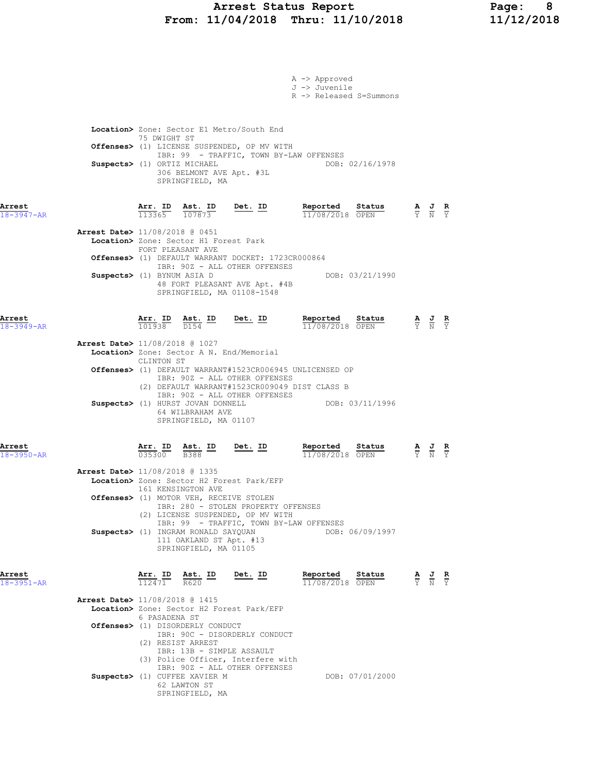## Arrest Status Report Page: 8 From: 11/04/2018 Thru: 11/10/2018 11/12/2018

|                  |                                          |               |                                                                                                        |                                                                                                     | A -> Approved                                                      |                 |                                                                                                       |  |
|------------------|------------------------------------------|---------------|--------------------------------------------------------------------------------------------------------|-----------------------------------------------------------------------------------------------------|--------------------------------------------------------------------|-----------------|-------------------------------------------------------------------------------------------------------|--|
|                  |                                          |               |                                                                                                        |                                                                                                     | J -> Juvenile<br>R -> Released S=Summons                           |                 |                                                                                                       |  |
|                  |                                          |               |                                                                                                        |                                                                                                     |                                                                    |                 |                                                                                                       |  |
|                  |                                          |               |                                                                                                        |                                                                                                     |                                                                    |                 |                                                                                                       |  |
|                  |                                          | 75 DWIGHT ST  |                                                                                                        | Location> Zone: Sector E1 Metro/South End                                                           |                                                                    |                 |                                                                                                       |  |
|                  |                                          |               |                                                                                                        | Offenses> (1) LICENSE SUSPENDED, OP MV WITH                                                         |                                                                    |                 |                                                                                                       |  |
|                  | Suspects> (1) ORTIZ MICHAEL              |               |                                                                                                        |                                                                                                     | IBR: 99 - TRAFFIC, TOWN BY-LAW OFFENSES                            | DOB: 02/16/1978 |                                                                                                       |  |
|                  |                                          |               | 306 BELMONT AVE Apt. #3L                                                                               |                                                                                                     |                                                                    |                 |                                                                                                       |  |
|                  |                                          |               | SPRINGFIELD, MA                                                                                        |                                                                                                     |                                                                    |                 |                                                                                                       |  |
| Arrest           |                                          |               |                                                                                                        |                                                                                                     | Reported Status                                                    |                 |                                                                                                       |  |
| $18 - 3947 - AR$ |                                          |               |                                                                                                        | $\frac{\texttt{Arr. ID}}{113365}$ $\frac{\texttt{ Ast. ID}}{107873}$ Det. ID                        | 11/08/2018 OPEN                                                    |                 | $\frac{\mathbf{A}}{\mathbf{Y}}$ $\frac{\mathbf{J}}{\mathbf{N}}$ $\frac{\mathbf{R}}{\mathbf{Y}}$       |  |
|                  | Arrest Date> 11/08/2018 @ 0451           |               |                                                                                                        |                                                                                                     |                                                                    |                 |                                                                                                       |  |
|                  |                                          |               | Location> Zone: Sector H1 Forest Park<br>FORT PLEASANT AVE                                             |                                                                                                     |                                                                    |                 |                                                                                                       |  |
|                  |                                          |               |                                                                                                        | Offenses> (1) DEFAULT WARRANT DOCKET: 1723CR000864                                                  |                                                                    |                 |                                                                                                       |  |
|                  | Suspects> (1) BYNUM ASIA D               |               |                                                                                                        | IBR: 90Z - ALL OTHER OFFENSES                                                                       |                                                                    | DOB: 03/21/1990 |                                                                                                       |  |
|                  |                                          |               |                                                                                                        | 48 FORT PLEASANT AVE Apt. #4B<br>SPRINGFIELD, MA 01108-1548                                         |                                                                    |                 |                                                                                                       |  |
|                  |                                          |               |                                                                                                        |                                                                                                     |                                                                    |                 |                                                                                                       |  |
| Arrest           |                                          |               |                                                                                                        |                                                                                                     | Reported Status                                                    |                 |                                                                                                       |  |
| $18 - 3949 - AR$ |                                          |               |                                                                                                        | $\frac{\texttt{Arr. ID}}{101938}$ $\frac{\texttt{ Ast. ID}}{D154}$ $\frac{\texttt{Det. ID}}{20154}$ | 11/08/2018 OPEN                                                    |                 | $\frac{\mathbf{A}}{\mathbf{Y}}$ $\frac{\mathbf{J}}{\mathbf{N}}$ $\frac{\mathbf{R}}{\mathbf{Y}}$       |  |
|                  | Arrest Date> 11/08/2018 @ 1027           |               |                                                                                                        |                                                                                                     |                                                                    |                 |                                                                                                       |  |
|                  |                                          | CLINTON ST    |                                                                                                        | Location> Zone: Sector A N. End/Memorial                                                            |                                                                    |                 |                                                                                                       |  |
|                  |                                          |               |                                                                                                        | IBR: 90Z - ALL OTHER OFFENSES                                                                       | <b>Offenses&gt;</b> (1) DEFAULT WARRANT#1523CR006945 UNLICENSED OP |                 |                                                                                                       |  |
|                  |                                          |               |                                                                                                        |                                                                                                     | (2) DEFAULT WARRANT#1523CR009049 DIST CLASS B                      |                 |                                                                                                       |  |
|                  |                                          |               | Suspects> (1) HURST JOVAN DONNELL                                                                      | IBR: 90Z - ALL OTHER OFFENSES                                                                       |                                                                    | DOB: 03/11/1996 |                                                                                                       |  |
|                  |                                          |               | 64 WILBRAHAM AVE<br>SPRINGFIELD, MA 01107                                                              |                                                                                                     |                                                                    |                 |                                                                                                       |  |
|                  |                                          |               |                                                                                                        |                                                                                                     |                                                                    |                 |                                                                                                       |  |
| Arrest           |                                          |               |                                                                                                        | $Det. ID$                                                                                           | Reported Status                                                    |                 |                                                                                                       |  |
| $18 - 3950 - AR$ |                                          |               | $\frac{\texttt{Arr.}}{035300}$ $\frac{\texttt{ Ast.}}{\texttt{B}388}$ $\frac{\texttt{ID}}{\texttt{D}}$ |                                                                                                     | 11/08/2018 OPEN                                                    |                 | $\frac{\mathbf{A}}{\overline{Y}}$ $\frac{\mathbf{J}}{\overline{N}}$ $\frac{\mathbf{R}}{\overline{Y}}$ |  |
|                  | Arrest Date> 11/08/2018 @ 1335           |               |                                                                                                        |                                                                                                     |                                                                    |                 |                                                                                                       |  |
|                  |                                          |               | 161 KENSINGTON AVE                                                                                     | Location> Zone: Sector H2 Forest Park/EFP                                                           |                                                                    |                 |                                                                                                       |  |
|                  |                                          |               |                                                                                                        | <b>Offenses&gt;</b> (1) MOTOR VEH, RECEIVE STOLEN<br>IBR: 280 - STOLEN PROPERTY OFFENSES            |                                                                    |                 |                                                                                                       |  |
|                  |                                          |               |                                                                                                        | (2) LICENSE SUSPENDED, OP MV WITH                                                                   |                                                                    |                 |                                                                                                       |  |
|                  |                                          |               | Suspects> (1) INGRAM RONALD SAYQUAN                                                                    |                                                                                                     | IBR: 99 - TRAFFIC, TOWN BY-LAW OFFENSES                            | DOB: 06/09/1997 |                                                                                                       |  |
|                  |                                          |               | 111 OAKLAND ST Apt. #13<br>SPRINGFIELD, MA 01105                                                       |                                                                                                     |                                                                    |                 |                                                                                                       |  |
|                  |                                          |               |                                                                                                        |                                                                                                     |                                                                    |                 |                                                                                                       |  |
| Arrest           |                                          |               | $\frac{\texttt{Arr.}}{112471}$ $\frac{\texttt{ Ast.}}{R620}$ $\frac{\texttt{ID}}{R}$                   | $Det. ID$                                                                                           | Reported Status                                                    |                 | $\frac{\mathbf{A}}{\mathbf{Y}}$ $\frac{\mathbf{J}}{\mathbf{N}}$ $\frac{\mathbf{R}}{\mathbf{Y}}$       |  |
| $18 - 3951 - AR$ |                                          |               |                                                                                                        |                                                                                                     | 11/08/2018 OPEN                                                    |                 |                                                                                                       |  |
|                  | <b>Arrest Date&gt;</b> 11/08/2018 @ 1415 |               |                                                                                                        |                                                                                                     |                                                                    |                 |                                                                                                       |  |
|                  |                                          | 6 PASADENA ST |                                                                                                        | Location> Zone: Sector H2 Forest Park/EFP                                                           |                                                                    |                 |                                                                                                       |  |
|                  |                                          |               | Offenses> (1) DISORDERLY CONDUCT                                                                       | IBR: 90C - DISORDERLY CONDUCT                                                                       |                                                                    |                 |                                                                                                       |  |
|                  |                                          |               | (2) RESIST ARREST                                                                                      |                                                                                                     |                                                                    |                 |                                                                                                       |  |
|                  |                                          |               | IBR: 13B - SIMPLE ASSAULT                                                                              | (3) Police Officer, Interfere with                                                                  |                                                                    |                 |                                                                                                       |  |
|                  |                                          |               | Suspects> (1) CUFFEE XAVIER M                                                                          | IBR: 90Z - ALL OTHER OFFENSES                                                                       |                                                                    | DOB: 07/01/2000 |                                                                                                       |  |
|                  |                                          |               | 62 LAWTON ST                                                                                           |                                                                                                     |                                                                    |                 |                                                                                                       |  |
|                  |                                          |               | SPRINGFIELD, MA                                                                                        |                                                                                                     |                                                                    |                 |                                                                                                       |  |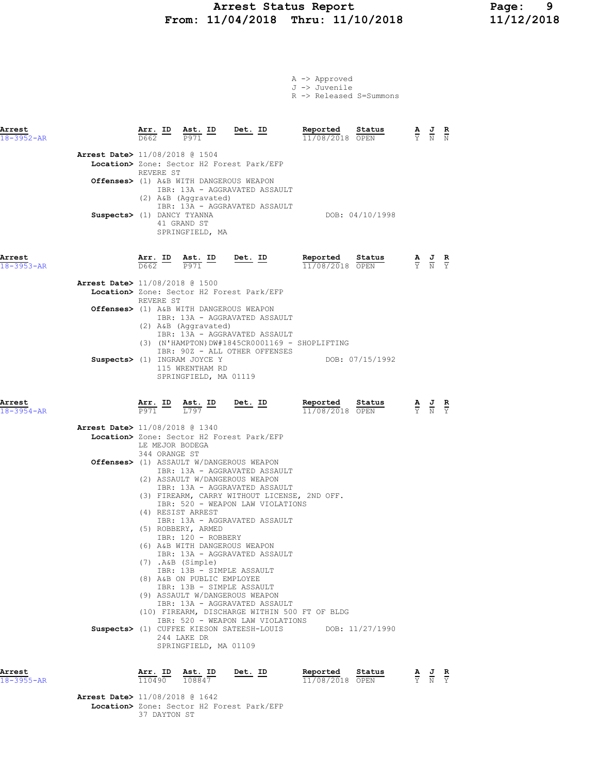## Arrest Status Report Page: 9 From: 11/04/2018 Thru: 11/10/2018

A -> Approved J -> Juvenile

|                            |                                |                                                  |                                                                                                                                                                                                                                                     |                                                                                                                                                                                                                                                                                                                                                                                                                                                        | R -> Released S=Summons                                          |                                                                                                       |  |
|----------------------------|--------------------------------|--------------------------------------------------|-----------------------------------------------------------------------------------------------------------------------------------------------------------------------------------------------------------------------------------------------------|--------------------------------------------------------------------------------------------------------------------------------------------------------------------------------------------------------------------------------------------------------------------------------------------------------------------------------------------------------------------------------------------------------------------------------------------------------|------------------------------------------------------------------|-------------------------------------------------------------------------------------------------------|--|
| Arrest<br>$18 - 3952 - AR$ |                                | $\frac{\texttt{Arr.}}{\texttt{D662}}$ ID<br>D662 | $\frac{\text{Ast.}}{\text{Bost.}}$ $\frac{ID}{ID}$<br>P971                                                                                                                                                                                          | <u>Det. ID</u>                                                                                                                                                                                                                                                                                                                                                                                                                                         | Reported<br>Status<br>11/08/2018 OPEN                            | $\frac{\mathbf{A}}{\mathbf{Y}}$ $\frac{\mathbf{J}}{\mathbf{N}}$ $\frac{\mathbf{R}}{\mathbf{N}}$       |  |
|                            | Arrest Date> 11/08/2018 @ 1504 | REVERE ST                                        | Offenses> (1) A&B WITH DANGEROUS WEAPON<br>(2) A&B (Aggravated)                                                                                                                                                                                     | Location> Zone: Sector H2 Forest Park/EFP<br>IBR: 13A - AGGRAVATED ASSAULT                                                                                                                                                                                                                                                                                                                                                                             |                                                                  |                                                                                                       |  |
|                            | Suspects> (1) DANCY TYANNA     |                                                  | 41 GRAND ST<br>SPRINGFIELD, MA                                                                                                                                                                                                                      | IBR: 13A - AGGRAVATED ASSAULT                                                                                                                                                                                                                                                                                                                                                                                                                          | DOB: 04/10/1998                                                  |                                                                                                       |  |
| Arrest<br>$18 - 3953 - AR$ |                                | Arr. ID<br>D662                                  | Ast. ID<br>P971                                                                                                                                                                                                                                     | Det. ID                                                                                                                                                                                                                                                                                                                                                                                                                                                | Reported<br>Status<br>11/08/2018 OPEN                            | $\frac{\mathbf{A}}{\overline{Y}}$ $\frac{\mathbf{J}}{\overline{N}}$ $\frac{\mathbf{R}}{\overline{Y}}$ |  |
|                            | Arrest Date> 11/08/2018 @ 1500 | REVERE ST                                        |                                                                                                                                                                                                                                                     | Location> Zone: Sector H2 Forest Park/EFP                                                                                                                                                                                                                                                                                                                                                                                                              |                                                                  |                                                                                                       |  |
|                            |                                |                                                  | Offenses> (1) A&B WITH DANGEROUS WEAPON<br>(2) A&B (Aggravated)                                                                                                                                                                                     | IBR: 13A - AGGRAVATED ASSAULT<br>IBR: 13A - AGGRAVATED ASSAULT                                                                                                                                                                                                                                                                                                                                                                                         | (3) (N'HAMPTON)DW#1845CR0001169 - SHOPLIFTING                    |                                                                                                       |  |
|                            |                                |                                                  | Suspects> (1) INGRAM JOYCE Y<br>115 WRENTHAM RD<br>SPRINGFIELD, MA 01119                                                                                                                                                                            | IBR: 90Z - ALL OTHER OFFENSES                                                                                                                                                                                                                                                                                                                                                                                                                          | DOB: 07/15/1992                                                  |                                                                                                       |  |
| Arrest<br>$18 - 3954 - AR$ |                                | <u>Arr. ID</u><br>P971                           | <u>Ast. ID</u><br>L797                                                                                                                                                                                                                              | <u>Det. ID</u>                                                                                                                                                                                                                                                                                                                                                                                                                                         | Reported<br>Status<br>11/08/2018 OPEN                            | $\frac{\mathbf{A}}{\mathbf{Y}}$ $\frac{\mathbf{J}}{\mathbf{N}}$                                       |  |
|                            | Arrest Date> 11/08/2018 @ 1340 | LE MEJOR BODEGA                                  |                                                                                                                                                                                                                                                     | Location> Zone: Sector H2 Forest Park/EFP                                                                                                                                                                                                                                                                                                                                                                                                              |                                                                  |                                                                                                       |  |
|                            |                                | 344 ORANGE ST                                    | (4) RESIST ARREST<br>(5) ROBBERY, ARMED<br>IBR: 120 - ROBBERY<br>(6) A&B WITH DANGEROUS WEAPON<br>(7) .A&B (Simple)<br>IBR: 13B - SIMPLE ASSAULT<br>(8) A&B ON PUBLIC EMPLOYEE<br>IBR: 13B - SIMPLE ASSAULT<br>244 LAKE DR<br>SPRINGFIELD, MA 01109 | Offenses> (1) ASSAULT W/DANGEROUS WEAPON<br>IBR: 13A - AGGRAVATED ASSAULT<br>(2) ASSAULT W/DANGEROUS WEAPON<br>IBR: 13A - AGGRAVATED ASSAULT<br>(3) FIREARM, CARRY WITHOUT LICENSE, 2ND OFF.<br>IBR: 520 - WEAPON LAW VIOLATIONS<br>IBR: 13A - AGGRAVATED ASSAULT<br>IBR: 13A - AGGRAVATED ASSAULT<br>(9) ASSAULT W/DANGEROUS WEAPON<br>IBR: 13A - AGGRAVATED ASSAULT<br>IBR: 520 - WEAPON LAW VIOLATIONS<br>Suspects> (1) CUFFEE KIESON SATEESH-LOUIS | (10) FIREARM, DISCHARGE WITHIN 500 FT OF BLDG<br>DOB: 11/27/1990 |                                                                                                       |  |
| Arrest<br>18-3955-AR       |                                |                                                  | $\frac{\text{Arr.}}{110490}$ $\frac{\text{dst.}}{108847}$                                                                                                                                                                                           | <u>Det. ID</u>                                                                                                                                                                                                                                                                                                                                                                                                                                         | Reported<br>Status<br>11/08/2018 OPEN                            | $\frac{\mathbf{A}}{\mathbf{Y}}$ $\frac{\mathbf{J}}{\mathbf{N}}$ $\frac{\mathbf{R}}{\mathbf{Y}}$       |  |

Arrest Date> 11/08/2018 @ 1642 Location> Zone: Sector H2 Forest Park/EFP 37 DAYTON ST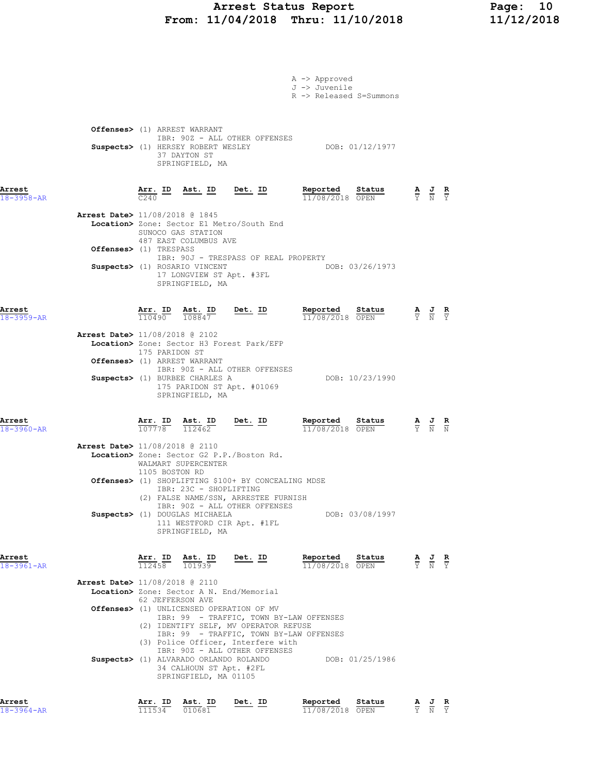## Arrest Status Report Page: 10 From: 11/04/2018 Thru: 11/10/2018 11/12/2018

|                            |                                          |                   |                                                                                     |                | A -> Approved                      |                         |                                                                                                 |  |
|----------------------------|------------------------------------------|-------------------|-------------------------------------------------------------------------------------|----------------|------------------------------------|-------------------------|-------------------------------------------------------------------------------------------------|--|
|                            |                                          |                   |                                                                                     |                | J -> Juvenile                      | R -> Released S=Summons |                                                                                                 |  |
|                            |                                          |                   |                                                                                     |                |                                    |                         |                                                                                                 |  |
|                            |                                          |                   | Offenses> (1) ARREST WARRANT                                                        |                |                                    |                         |                                                                                                 |  |
|                            |                                          |                   | IBR: 90Z - ALL OTHER OFFENSES<br>Suspects> (1) HERSEY ROBERT WESLEY                 |                |                                    | DOB: 01/12/1977         |                                                                                                 |  |
|                            |                                          |                   | 37 DAYTON ST<br>SPRINGFIELD, MA                                                     |                |                                    |                         |                                                                                                 |  |
|                            |                                          |                   |                                                                                     |                |                                    |                         |                                                                                                 |  |
| Arrest<br>18-3958-AR       |                                          | C240              | Arr. ID Ast. ID Det. ID                                                             |                | Reported Status<br>11/08/2018 OPEN |                         | $\frac{\mathbf{A}}{\mathbf{Y}}$ $\frac{\mathbf{J}}{\mathbf{N}}$ $\frac{\mathbf{R}}{\mathbf{Y}}$ |  |
|                            | Arrest Date> 11/08/2018 @ 1845           |                   |                                                                                     |                |                                    |                         |                                                                                                 |  |
|                            |                                          |                   | Location> Zone: Sector E1 Metro/South End<br>SUNOCO GAS STATION                     |                |                                    |                         |                                                                                                 |  |
|                            | <b>Offenses&gt;</b> (1) TRESPASS         |                   | 487 EAST COLUMBUS AVE                                                               |                |                                    |                         |                                                                                                 |  |
|                            |                                          |                   | IBR: 90J - TRESPASS OF REAL PROPERTY<br>Suspects> (1) ROSARIO VINCENT               |                |                                    | DOB: 03/26/1973         |                                                                                                 |  |
|                            |                                          |                   | 17 LONGVIEW ST Apt. #3FL<br>SPRINGFIELD, MA                                         |                |                                    |                         |                                                                                                 |  |
|                            |                                          |                   |                                                                                     |                |                                    |                         |                                                                                                 |  |
| Arrest<br>$18 - 3959 - AR$ |                                          |                   | $\frac{\texttt{Arr.}}{110490}$ $\frac{\texttt{ Ast.}}{108847}$ Det. ID              |                | Reported Status<br>11/08/2018 OPEN |                         | $\frac{\mathbf{A}}{\mathbf{Y}}$ $\frac{\mathbf{J}}{\mathbf{N}}$ $\frac{\mathbf{R}}{\mathbf{Y}}$ |  |
|                            | Arrest Date> 11/08/2018 @ 2102           |                   |                                                                                     |                |                                    |                         |                                                                                                 |  |
|                            |                                          | 175 PARIDON ST    | Location> Zone: Sector H3 Forest Park/EFP                                           |                |                                    |                         |                                                                                                 |  |
|                            |                                          |                   | Offenses> (1) ARREST WARRANT<br>IBR: 90Z - ALL OTHER OFFENSES                       |                |                                    |                         |                                                                                                 |  |
|                            |                                          |                   | Suspects> (1) BURBEE CHARLES A<br>175 PARIDON ST Apt. #01069                        |                |                                    | DOB: 10/23/1990         |                                                                                                 |  |
|                            |                                          |                   | SPRINGFIELD, MA                                                                     |                |                                    |                         |                                                                                                 |  |
| Arrest                     |                                          |                   | $\frac{\texttt{Arr.}}{107778}$ $\frac{\texttt{Ab.}}{112462}$                        | <u>Det. ID</u> | Reported                           | S <u>tatus</u>          | $\frac{\mathbf{A}}{\mathbf{Y}}$ $\frac{\mathbf{J}}{\mathbf{N}}$ $\frac{\mathbf{R}}{\mathbf{N}}$ |  |
| 18-3960-AR                 |                                          |                   |                                                                                     |                | 11/08/2018 OPEN                    |                         |                                                                                                 |  |
|                            | Arrest Date> 11/08/2018 @ 2110           |                   | Location> Zone: Sector G2 P.P./Boston Rd.                                           |                |                                    |                         |                                                                                                 |  |
|                            |                                          | 1105 BOSTON RD    | WALMART SUPERCENTER                                                                 |                |                                    |                         |                                                                                                 |  |
|                            |                                          |                   | Offenses> (1) SHOPLIFTING \$100+ BY CONCEALING MDSE<br>IBR: 23C - SHOPLIFTING       |                |                                    |                         |                                                                                                 |  |
|                            |                                          |                   | (2) FALSE NAME/SSN, ARRESTEE FURNISH<br>IBR: 90Z - ALL OTHER OFFENSES               |                |                                    |                         |                                                                                                 |  |
|                            |                                          |                   | Suspects> (1) DOUGLAS MICHAELA<br>111 WESTFORD CIR Apt. #1FL                        |                |                                    | DOB: 03/08/1997         |                                                                                                 |  |
|                            |                                          |                   | SPRINGFIELD, MA                                                                     |                |                                    |                         |                                                                                                 |  |
| Arrest<br>18-3961-AR       |                                          | Arr. ID<br>112458 | Ast. ID<br>101939                                                                   | Det. ID        | Reported                           | Status                  | $\frac{\mathbf{A}}{\mathbf{Y}}$ $\frac{\mathbf{J}}{\mathbf{N}}$ $\frac{\mathbf{R}}{\mathbf{Y}}$ |  |
|                            | <b>Arrest Date&gt;</b> 11/08/2018 @ 2110 |                   |                                                                                     |                | 11/08/2018 OPEN                    |                         |                                                                                                 |  |
|                            |                                          |                   | Location> Zone: Sector A N. End/Memorial<br>62 JEFFERSON AVE                        |                |                                    |                         |                                                                                                 |  |
|                            |                                          |                   | Offenses> (1) UNLICENSED OPERATION OF MV<br>IBR: 99 - TRAFFIC, TOWN BY-LAW OFFENSES |                |                                    |                         |                                                                                                 |  |
|                            |                                          |                   | (2) IDENTIFY SELF, MV OPERATOR REFUSE<br>IBR: 99 - TRAFFIC, TOWN BY-LAW OFFENSES    |                |                                    |                         |                                                                                                 |  |
|                            |                                          |                   | (3) Police Officer, Interfere with<br>IBR: 90Z - ALL OTHER OFFENSES                 |                |                                    |                         |                                                                                                 |  |
|                            |                                          |                   | Suspects> (1) ALVARADO ORLANDO ROLANDO<br>34 CALHOUN ST Apt. #2FL                   |                |                                    | DOB: 01/25/1986         |                                                                                                 |  |
|                            |                                          |                   | SPRINGFIELD, MA 01105                                                               |                |                                    |                         |                                                                                                 |  |
| Arrest                     |                                          |                   | Arr. ID Ast. ID                                                                     | Det. ID        | Reported                           | Status                  | A J R                                                                                           |  |
|                            |                                          |                   |                                                                                     |                |                                    |                         |                                                                                                 |  |

18-3964-AR 111534 010681 11/08/2018 OPEN Y N Y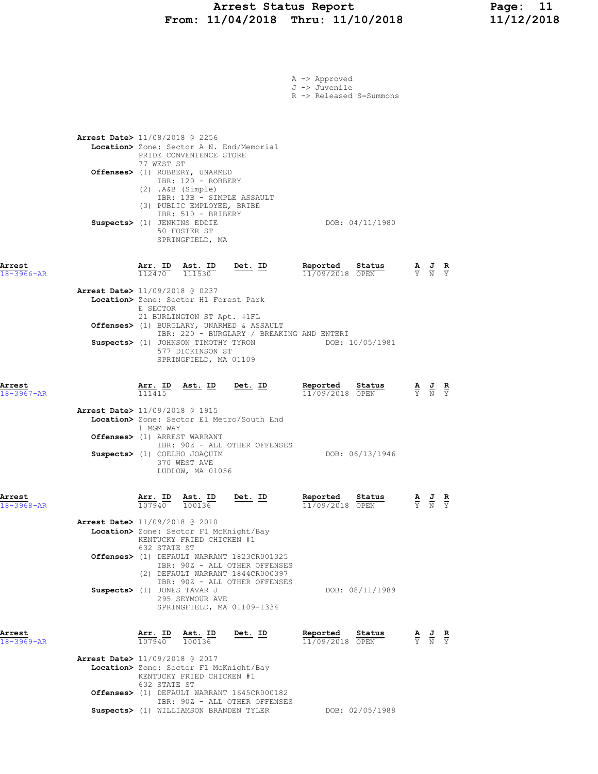### Arrest Status Report Page: 11 From: 11/04/2018 Thru: 11/10/2018 11/12/2018

|                            |                                                                                                                                                                               |                                                                | A -> Approved<br>J -> Juvenile<br>R -> Released S=Summons    |                                                                                                           |
|----------------------------|-------------------------------------------------------------------------------------------------------------------------------------------------------------------------------|----------------------------------------------------------------|--------------------------------------------------------------|-----------------------------------------------------------------------------------------------------------|
|                            | Arrest Date> 11/08/2018 @ 2256<br>Location> Zone: Sector A N. End/Memorial<br>PRIDE CONVENIENCE STORE                                                                         |                                                                |                                                              |                                                                                                           |
|                            | 77 WEST ST<br>Offenses> (1) ROBBERY, UNARMED<br>IBR: 120 - ROBBERY<br>(2) .A&B (Simple)                                                                                       |                                                                |                                                              |                                                                                                           |
|                            | IBR: 13B - SIMPLE ASSAULT<br>(3) PUBLIC EMPLOYEE, BRIBE<br>IBR: 510 - BRIBERY<br>Suspects> (1) JENKINS EDDIE<br>50 FOSTER ST<br>SPRINGFIELD, MA                               |                                                                | DOB: 04/11/1980                                              |                                                                                                           |
| Arrest<br>$18 - 3966 - AR$ | $\frac{\texttt{Arr.}}{112470}$ $\frac{\texttt{ Ast.}}{111530}$                                                                                                                | Det. ID                                                        | Reported<br>11/09/2018 OPEN                                  | Status<br>$\frac{\mathbf{A}}{\mathbf{Y}}$ $\frac{\mathbf{J}}{\mathbf{N}}$ $\frac{\mathbf{R}}{\mathbf{Y}}$ |
|                            | <b>Arrest Date&gt;</b> 11/09/2018 @ 0237<br>Location> Zone: Sector H1 Forest Park<br>E SECTOR<br>21 BURLINGTON ST Apt. #1FL                                                   |                                                                |                                                              |                                                                                                           |
|                            | Offenses> (1) BURGLARY, UNARMED & ASSAULT<br>Suspects> (1) JOHNSON TIMOTHY TYRON<br>577 DICKINSON ST<br>SPRINGFIELD, MA 01109                                                 |                                                                | IBR: 220 - BURGLARY / BREAKING AND ENTERI<br>DOB: 10/05/1981 |                                                                                                           |
| Arrest<br>$18 - 3967 - AR$ | $\frac{\text{Arr.}}{111415}$<br><u>Ast. ID</u>                                                                                                                                | <u>Det. ID</u>                                                 | <u>Reported</u><br>11/09/2018 OPEN                           | Status<br>$\frac{\mathbf{A}}{\mathbf{Y}}$ $\frac{\mathbf{J}}{\mathbf{N}}$ $\frac{\mathbf{R}}{\mathbf{Y}}$ |
|                            | <b>Arrest Date&gt;</b> 11/09/2018 @ 1915<br>Location> Zone: Sector E1 Metro/South End<br>1 MGM WAY                                                                            |                                                                |                                                              |                                                                                                           |
|                            | Offenses> (1) ARREST WARRANT<br>Suspects> (1) COELHO JOAQUIM<br>370 WEST AVE<br>LUDLOW, MA 01056                                                                              | IBR: 90Z - ALL OTHER OFFENSES                                  | DOB: 06/13/1946                                              |                                                                                                           |
| Arrest<br>18-3968-AR       | $\frac{\text{Arr.}}{107940}$ $\frac{\text{dst.}}{100136}$                                                                                                                     | Det. ID                                                        | Reported<br>11/09/2018 OPEN                                  | Status<br>$\frac{\mathbf{A}}{\mathbf{Y}}$ $\frac{\mathbf{J}}{\mathbf{N}}$<br>$\frac{R}{Y}$                |
|                            | <b>Arrest Date&gt;</b> 11/09/2018 @ 2010<br>Location> Zone: Sector F1 McKnight/Bay<br>KENTUCKY FRIED CHICKEN #1<br>632 STATE ST                                               |                                                                |                                                              |                                                                                                           |
|                            | Offenses> (1) DEFAULT WARRANT 1823CR001325<br>(2) DEFAULT WARRANT 1844CR000397                                                                                                | IBR: 90Z - ALL OTHER OFFENSES<br>IBR: 90Z - ALL OTHER OFFENSES |                                                              |                                                                                                           |
|                            | Suspects> (1) JONES TAVAR J<br>295 SEYMOUR AVE                                                                                                                                | SPRINGFIELD, MA 01109-1334                                     | DOB: 08/11/1989                                              |                                                                                                           |
| Arrest<br>18-3969-AR       | $\frac{\texttt{Arr.}}{107940}$ $\frac{\texttt{ Ast.}}{100136}$                                                                                                                | <u>Det. ID</u>                                                 | Reported<br>11/09/2018 OPEN                                  | Status<br>$\frac{\mathbf{A}}{\mathbf{Y}}$ $\frac{\mathbf{J}}{\mathbf{N}}$ $\frac{\mathbf{R}}{\mathbf{Y}}$ |
|                            | <b>Arrest Date&gt;</b> 11/09/2018 @ 2017<br>Location> Zone: Sector F1 McKnight/Bay<br>KENTUCKY FRIED CHICKEN #1<br>632 STATE ST<br>Offenses> (1) DEFAULT WARRANT 1645CR000182 |                                                                |                                                              |                                                                                                           |
|                            | Suspects> (1) WILLIAMSON BRANDEN TYLER                                                                                                                                        | IBR: 90Z - ALL OTHER OFFENSES                                  | DOB: 02/05/1988                                              |                                                                                                           |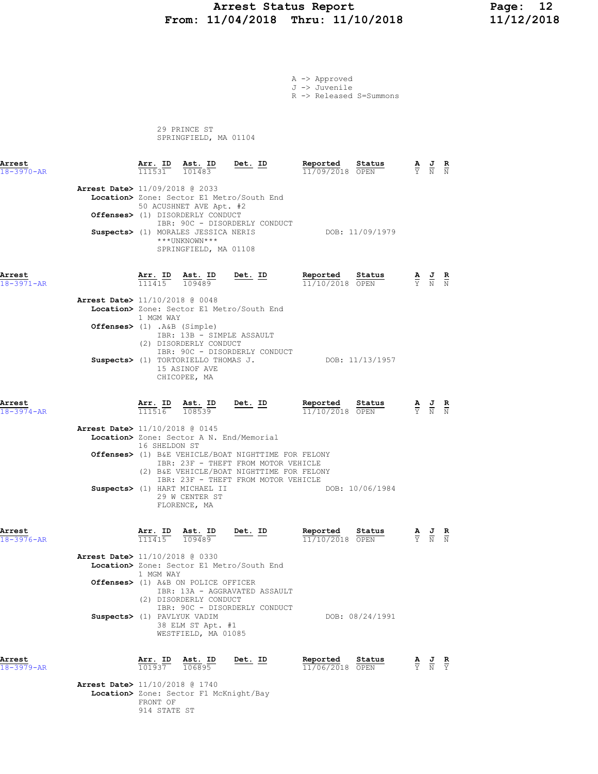## Arrest Status Report 12<br>11/04/2018 Thru: 11/10/2018 11/12/2018 From: 11/04/2018 Thru: 11/10/2018

A -> Approved J -> Juvenile

R -> Released S=Summons

 29 PRINCE ST SPRINGFIELD, MA 01104

| Arrest<br>18-3970-AR       |                                                               | <b>Arr. ID</b><br>111531                    | $\frac{\texttt{Ast.}}{101483}$                                                                                                               | <u>Det. ID</u>                                                                                                                                                                           | Reported<br>11/09/2018 OPEN        | Status                                                                                          |                                                                                                 |                                                                                                 |  |
|----------------------------|---------------------------------------------------------------|---------------------------------------------|----------------------------------------------------------------------------------------------------------------------------------------------|------------------------------------------------------------------------------------------------------------------------------------------------------------------------------------------|------------------------------------|-------------------------------------------------------------------------------------------------|-------------------------------------------------------------------------------------------------|-------------------------------------------------------------------------------------------------|--|
|                            | <b>Arrest Date&gt;</b> 11/09/2018 @ 2033                      |                                             | 50 ACUSHNET AVE Apt. #2<br>Offenses> (1) DISORDERLY CONDUCT<br>Suspects> (1) MORALES JESSICA NERIS<br>***UNKNOWN***<br>SPRINGFIELD, MA 01108 | Location> Zone: Sector E1 Metro/South End<br>IBR: 90C - DISORDERLY CONDUCT                                                                                                               |                                    | DOB: 11/09/1979                                                                                 |                                                                                                 |                                                                                                 |  |
| Arrest<br>$18 - 3971 - AR$ |                                                               |                                             | $\frac{\texttt{Arr.}}{111415}$ $\frac{\texttt{ Ast.}}{109489}$                                                                               | $Det. ID$                                                                                                                                                                                | Reported Status<br>11/10/2018 OPEN | $\frac{\mathbf{A}}{\mathbf{Y}}$ $\frac{\mathbf{J}}{\mathbf{N}}$ $\frac{\mathbf{R}}{\mathbf{N}}$ |                                                                                                 |                                                                                                 |  |
|                            | Arrest Date> 11/10/2018 @ 0048<br>Offenses> (1) .A&B (Simple) | 1 MGM WAY                                   |                                                                                                                                              | Location> Zone: Sector E1 Metro/South End                                                                                                                                                |                                    |                                                                                                 |                                                                                                 |                                                                                                 |  |
|                            |                                                               |                                             | IBR: 13B - SIMPLE ASSAULT<br>(2) DISORDERLY CONDUCT<br>Suspects> (1) TORTORIELLO THOMAS J.<br>15 ASINOF AVE<br>CHICOPEE, MA                  | IBR: 90C - DISORDERLY CONDUCT                                                                                                                                                            |                                    | DOB: 11/13/1957                                                                                 |                                                                                                 |                                                                                                 |  |
| Arrest<br>$18 - 3974 - AR$ |                                                               |                                             | $\frac{\texttt{Arr.}}{111516}$ $\frac{\texttt{ Ast.}}{108539}$                                                                               | Det. ID                                                                                                                                                                                  | Reported Status<br>11/10/2018 OPEN |                                                                                                 | $\frac{\mathbf{A}}{\mathbf{Y}}$ $\frac{\mathbf{J}}{\mathbf{N}}$ $\frac{\mathbf{R}}{\mathbf{N}}$ |                                                                                                 |  |
|                            | Arrest Date> 11/10/2018 @ 0145                                | 16 SHELDON ST                               | Location> Zone: Sector A N. End/Memorial<br>Suspects> (1) HART MICHAEL II<br>29 W CENTER ST<br>FLORENCE, MA                                  | <b>Offenses&gt;</b> (1) B&E VEHICLE/BOAT NIGHTTIME FOR FELONY<br>IBR: 23F - THEFT FROM MOTOR VEHICLE<br>(2) B&E VEHICLE/BOAT NIGHTTIME FOR FELONY<br>IBR: 23F - THEFT FROM MOTOR VEHICLE |                                    | DOB: 10/06/1984                                                                                 |                                                                                                 |                                                                                                 |  |
| Arrest<br>$18 - 3976 - AR$ | Arrest Date> 11/10/2018 @ 0330                                | $\frac{\texttt{Arr.}}{111415}$<br>1 MGM WAY | $\frac{\text{Ast.}}{109489}$                                                                                                                 | <u>Det.</u> ID<br>Location> Zone: Sector E1 Metro/South End                                                                                                                              | Reported<br>11/10/2018 OPEN        | <u>Status</u>                                                                                   | $\frac{\mathbf{A}}{\mathbf{Y}}$ $\frac{\mathbf{J}}{\mathbf{N}}$ $\frac{\mathbf{R}}{\mathbf{N}}$ |                                                                                                 |  |
|                            | Suspects> (1) PAVLYUK VADIM                                   |                                             | Offenses> (1) A&B ON POLICE OFFICER<br>(2) DISORDERLY CONDUCT<br>38 ELM ST Apt. #1<br>WESTFIELD, MA 01085                                    | IBR: 13A - AGGRAVATED ASSAULT<br>IBR: 90C - DISORDERLY CONDUCT                                                                                                                           |                                    | DOB: 08/24/1991                                                                                 |                                                                                                 |                                                                                                 |  |
| Arrest<br>$18 - 3979 - AR$ |                                                               | Arr. ID<br>101937                           | Ast. ID<br>106895                                                                                                                            | Det. ID                                                                                                                                                                                  | Reported<br>11/06/2018 OPEN        | Status                                                                                          |                                                                                                 | $\frac{\mathbf{A}}{\mathbf{Y}}$ $\frac{\mathbf{J}}{\mathbf{N}}$ $\frac{\mathbf{R}}{\mathbf{Y}}$ |  |

 Arrest Date> 11/10/2018 @ 1740 Location> Zone: Sector F1 McKnight/Bay FRONT OF 914 STATE ST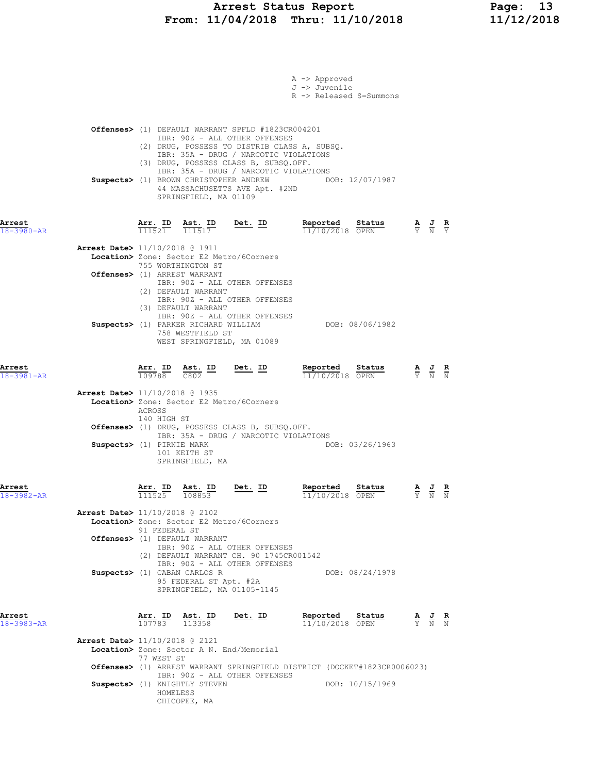|                                                                                                                                                                                                                      | A -> Approved<br>J -> Juvenile<br>R -> Released S=Summons                                                                                  |
|----------------------------------------------------------------------------------------------------------------------------------------------------------------------------------------------------------------------|--------------------------------------------------------------------------------------------------------------------------------------------|
| <b>Offenses&gt;</b> (1) DEFAULT WARRANT SPFLD #1823CR004201<br>IBR: 90Z - ALL OTHER OFFENSES<br>(2) DRUG, POSSESS TO DISTRIB CLASS A, SUBSO.<br>IBR: 35A - DRUG / NARCOTIC VIOLATIONS                                |                                                                                                                                            |
| IBR: 35A - DRUG / NARCOTIC VIOLATIONS<br>Suspects> (1) BROWN CHRISTOPHER ANDREW<br>44 MASSACHUSETTS AVE Apt. #2ND<br>SPRINGFIELD, MA 01109                                                                           | DOB: 12/07/1987                                                                                                                            |
| $\frac{\texttt{Arr. ID}}{111521}$ $\frac{\texttt{ Ast. ID}}{111517}$ Det. ID                                                                                                                                         | Reported<br>Status<br>$\frac{\mathbf{A}}{\mathbf{Y}}$ $\frac{\mathbf{J}}{\mathbf{N}}$ $\frac{\mathbf{R}}{\mathbf{Y}}$<br>$11/10/2018$ OPEN |
| Arrest Date> 11/10/2018 @ 1911<br>Location> Zone: Sector E2 Metro/6Corners<br>755 WORTHINGTON ST<br>Offenses> (1) ARREST WARRANT<br>IBR: 90Z - ALL OTHER OFFENSES                                                    |                                                                                                                                            |
| IBR: 90Z - ALL OTHER OFFENSES<br>(3) DEFAULT WARRANT<br>IBR: 90Z - ALL OTHER OFFENSES<br>Suspects> (1) PARKER RICHARD WILLIAM<br>758 WESTFIELD ST<br>WEST SPRINGFIELD, MA 01089                                      | DOB: 08/06/1982                                                                                                                            |
| <u>Arr. ID Ast. ID Det. ID</u><br>$\overline{109788}$ $\overline{C802}$                                                                                                                                              | Reported Status<br>$\frac{\mathbf{A}}{\mathbf{Y}}$ $\frac{\mathbf{J}}{\mathbf{N}}$ $\frac{\mathbf{R}}{\mathbf{N}}$<br>11/10/2018 OPEN      |
| Arrest Date> 11/10/2018 @ 1935<br>Location> Zone: Sector E2 Metro/6Corners<br>ACROSS                                                                                                                                 |                                                                                                                                            |
| Offenses> (1) DRUG, POSSESS CLASS B, SUBSQ.OFF.<br>IBR: 35A - DRUG / NARCOTIC VIOLATIONS<br>Suspects> (1) PIRNIE MARK<br>101 KEITH ST<br>SPRINGFIELD, MA                                                             | DOB: 03/26/1963                                                                                                                            |
| <b><u>Arr. ID</u> Ast. ID Det. ID</b><br>$\frac{111525}{108853}$ <b>Det.</b> ID                                                                                                                                      | Reported Status<br>$\frac{\mathbf{A}}{\mathbf{Y}}$ $\frac{\mathbf{J}}{\mathbf{N}}$ $\frac{\mathbf{R}}{\mathbf{N}}$<br>11/10/2018 OPEN      |
| <b>Arrest Date&gt;</b> $11/10/2018$ @ 2102<br>Location> Zone: Sector E2 Metro/6Corners<br>91 FEDERAL ST<br>Offenses> (1) DEFAULT WARRANT<br>IBR: 90Z - ALL OTHER OFFENSES<br>(2) DEFAULT WARRANT CH. 90 1745CR001542 |                                                                                                                                            |
| IBR: 90Z - ALL OTHER OFFENSES<br>Suspects> (1) CABAN CARLOS R<br>95 FEDERAL ST Apt. #2A<br>SPRINGFIELD, MA 01105-1145                                                                                                | DOB: 08/24/1978                                                                                                                            |
| <b>Arr. ID Ast. ID</b><br>$\frac{107783}{113358}$<br>Det. ID                                                                                                                                                         | Reported Status<br>$\frac{\mathbf{A}}{\mathbf{Y}}$ $\frac{\mathbf{J}}{\mathbf{N}}$ $\frac{\mathbf{R}}{\mathbf{N}}$<br>$11/10/2018$ OPEN    |
| Arrest Date> 11/10/2018 @ 2121<br>Location> Zone: Sector A N. End/Memorial<br>77 WEST ST<br>Offenses> (1) ARREST WARRANT SPRINGFIELD DISTRICT (DOCKET#1823CR0006023)                                                 |                                                                                                                                            |
|                                                                                                                                                                                                                      | (3) DRUG, POSSESS CLASS B, SUBSQ.OFF.<br>(2) DEFAULT WARRANT<br>140 HIGH ST<br>IBR: 90Z - ALL OTHER OFFENSES                               |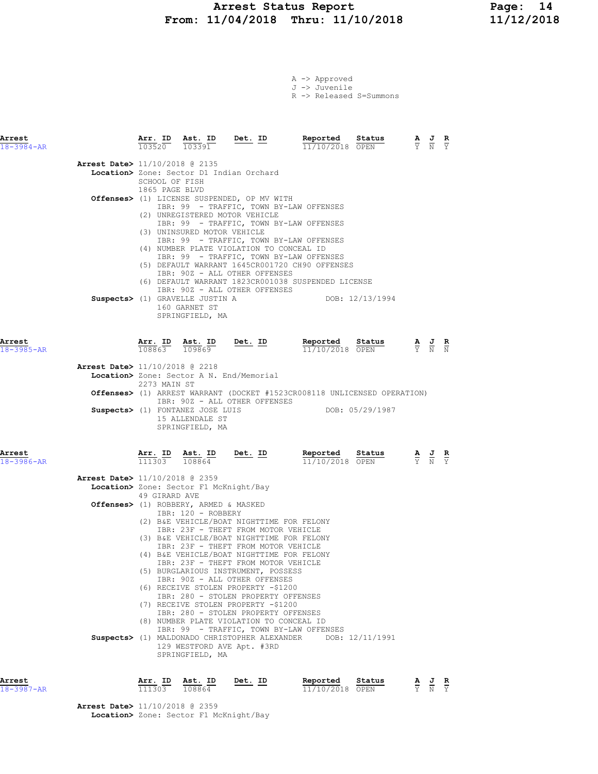# Arrest Status Report Page: 14 From: 11/04/2018 Thru: 11/10/2018

|  | A -> Approved |                         |
|--|---------------|-------------------------|
|  | J -> Juvenile |                         |
|  |               | R -> Released S=Summons |

| Arrest<br>$18 - 3984 - AR$ |                                          | Arr. ID<br>$\frac{1111}{103520}$ $\frac{11111}{103391}$ | Ast. ID                                                                                            | $Det. ID$                                                                                                                                                                                                                                                                                                                                                                                                                                                                                                                                                                                                               | Reported<br>11/10/2018 OPEN                                                                                                                                                                                                                                                                         | Status          |                                 | $\frac{\mathbf{A}}{\mathbf{Y}}$ $\frac{\mathbf{J}}{\mathbf{N}}$ $\frac{\mathbf{R}}{\mathbf{Y}}$ |                               |
|----------------------------|------------------------------------------|---------------------------------------------------------|----------------------------------------------------------------------------------------------------|-------------------------------------------------------------------------------------------------------------------------------------------------------------------------------------------------------------------------------------------------------------------------------------------------------------------------------------------------------------------------------------------------------------------------------------------------------------------------------------------------------------------------------------------------------------------------------------------------------------------------|-----------------------------------------------------------------------------------------------------------------------------------------------------------------------------------------------------------------------------------------------------------------------------------------------------|-----------------|---------------------------------|-------------------------------------------------------------------------------------------------|-------------------------------|
|                            | Arrest Date> 11/10/2018 @ 2135           | SCHOOL OF FISH<br>1865 PAGE BLVD                        | (3) UNINSURED MOTOR VEHICLE<br>Suspects> (1) GRAVELLE JUSTIN A<br>160 GARNET ST<br>SPRINGFIELD, MA | Location> Zone: Sector D1 Indian Orchard<br>Offenses> (1) LICENSE SUSPENDED, OP MV WITH<br>(2) UNREGISTERED MOTOR VEHICLE<br>(4) NUMBER PLATE VIOLATION TO CONCEAL ID<br>IBR: 90Z - ALL OTHER OFFENSES<br>IBR: 90Z - ALL OTHER OFFENSES                                                                                                                                                                                                                                                                                                                                                                                 | IBR: 99 - TRAFFIC, TOWN BY-LAW OFFENSES<br>IBR: 99 - TRAFFIC, TOWN BY-LAW OFFENSES<br>IBR: 99 - TRAFFIC, TOWN BY-LAW OFFENSES<br>IBR: 99 - TRAFFIC, TOWN BY-LAW OFFENSES<br>(5) DEFAULT WARRANT 1645CR001720 CH90 OFFENSES<br>(6) DEFAULT WARRANT 1823CR001038 SUSPENDED LICENSE<br>DOB: 12/13/1994 |                 |                                 |                                                                                                 |                               |
| Arrest<br>$18 - 3985 - AR$ |                                          | Arr. ID                                                 | Ast. ID<br>108863 109869                                                                           | $Det. ID$                                                                                                                                                                                                                                                                                                                                                                                                                                                                                                                                                                                                               | Reported Status<br>11/10/2018 OPEN                                                                                                                                                                                                                                                                  |                 |                                 | $\frac{\mathbf{A}}{\mathbf{Y}}$ $\frac{\mathbf{J}}{\mathbf{N}}$ $\frac{\mathbf{R}}{\mathbf{N}}$ |                               |
|                            | <b>Arrest Date&gt;</b> 11/10/2018 @ 2218 | 2273 MAIN ST                                            |                                                                                                    | Location> Zone: Sector A N. End/Memorial                                                                                                                                                                                                                                                                                                                                                                                                                                                                                                                                                                                |                                                                                                                                                                                                                                                                                                     |                 |                                 |                                                                                                 |                               |
|                            |                                          |                                                         |                                                                                                    | IBR: 90Z - ALL OTHER OFFENSES                                                                                                                                                                                                                                                                                                                                                                                                                                                                                                                                                                                           | <b>Offenses&gt;</b> (1) ARREST WARRANT (DOCKET #1523CR008118 UNLICENSED OPERATION)                                                                                                                                                                                                                  |                 |                                 |                                                                                                 |                               |
|                            |                                          |                                                         | Suspects> (1) FONTANEZ JOSE LUIS<br>15 ALLENDALE ST<br>SPRINGFIELD, MA                             |                                                                                                                                                                                                                                                                                                                                                                                                                                                                                                                                                                                                                         | DOB: 05/29/1987                                                                                                                                                                                                                                                                                     |                 |                                 |                                                                                                 |                               |
| Arrest<br>18-3986-AR       |                                          |                                                         | 111303 108864                                                                                      |                                                                                                                                                                                                                                                                                                                                                                                                                                                                                                                                                                                                                         | Arr. ID Ast. ID Det. ID Reported Status 11302<br>Reported Status<br>11/10/2018 OPEN                                                                                                                                                                                                                 |                 |                                 | $\frac{\mathbf{A}}{\mathbf{Y}}$ $\frac{\mathbf{J}}{\mathbf{N}}$ $\frac{\mathbf{R}}{\mathbf{Y}}$ |                               |
|                            | Arrest Date> 11/10/2018 @ 2359           | 49 GIRARD AVE                                           | Location> Zone: Sector F1 McKnight/Bay                                                             |                                                                                                                                                                                                                                                                                                                                                                                                                                                                                                                                                                                                                         |                                                                                                                                                                                                                                                                                                     |                 |                                 |                                                                                                 |                               |
|                            |                                          |                                                         | Offenses> (1) ROBBERY, ARMED & MASKED<br>IBR: 120 - ROBBERY                                        |                                                                                                                                                                                                                                                                                                                                                                                                                                                                                                                                                                                                                         |                                                                                                                                                                                                                                                                                                     |                 |                                 |                                                                                                 |                               |
|                            |                                          |                                                         | SPRINGFIELD, MA                                                                                    | (2) B&E VEHICLE/BOAT NIGHTTIME FOR FELONY<br>IBR: 23F - THEFT FROM MOTOR VEHICLE<br>(3) B&E VEHICLE/BOAT NIGHTTIME FOR FELONY<br>IBR: 23F - THEFT FROM MOTOR VEHICLE<br>(4) B&E VEHICLE/BOAT NIGHTTIME FOR FELONY<br>IBR: 23F - THEFT FROM MOTOR VEHICLE<br>(5) BURGLARIOUS INSTRUMENT, POSSESS<br>IBR: 90Z - ALL OTHER OFFENSES<br>(6) RECEIVE STOLEN PROPERTY -\$1200<br>IBR: 280 - STOLEN PROPERTY OFFENSES<br>(7) RECEIVE STOLEN PROPERTY -\$1200<br>IBR: 280 - STOLEN PROPERTY OFFENSES<br>(8) NUMBER PLATE VIOLATION TO CONCEAL ID<br>Suspects> (1) MALDONADO CHRISTOPHER ALEXANDER<br>129 WESTFORD AVE Apt. #3RD | IBR: 99 - TRAFFIC, TOWN BY-LAW OFFENSES                                                                                                                                                                                                                                                             | DOB: 12/11/1991 |                                 |                                                                                                 |                               |
| Arrest<br>18-3987-AR       |                                          | $\frac{\text{Arr.}}{111303}$                            | <u>Ast. ID</u><br>108864                                                                           | Det. ID                                                                                                                                                                                                                                                                                                                                                                                                                                                                                                                                                                                                                 | Reported<br>11/10/2018 OPEN                                                                                                                                                                                                                                                                         | Status          | $\frac{\mathbf{A}}{\mathbf{Y}}$ | $\frac{J}{N}$                                                                                   | $rac{\mathbf{R}}{\mathrm{Y}}$ |

Arrest Date> 11/10/2018 @ 2359

Location> Zone: Sector F1 McKnight/Bay